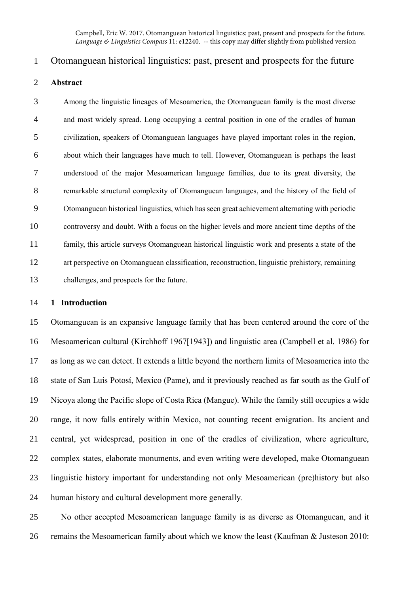Campbell, Eric W. 2017. Otomanguean historical linguistics: past, present and prospects for the future. *Language & Linguistics Compass* 11: e12240. -- this copy may differ slightly from published version

# Otomanguean historical linguistics: past, present and prospects for the future

## **Abstract**

 Among the linguistic lineages of Mesoamerica, the Otomanguean family is the most diverse and most widely spread. Long occupying a central position in one of the cradles of human civilization, speakers of Otomanguean languages have played important roles in the region, about which their languages have much to tell. However, Otomanguean is perhaps the least understood of the major Mesoamerican language families, due to its great diversity, the remarkable structural complexity of Otomanguean languages, and the history of the field of Otomanguean historical linguistics, which has seen great achievement alternating with periodic controversy and doubt. With a focus on the higher levels and more ancient time depths of the family, this article surveys Otomanguean historical linguistic work and presents a state of the art perspective on Otomanguean classification, reconstruction, linguistic prehistory, remaining challenges, and prospects for the future.

#### **1 Introduction**

 Otomanguean is an expansive language family that has been centered around the core of the Mesoamerican cultural (Kirchhoff 1967[1943]) and linguistic area (Campbell et al. 1986) for as long as we can detect. It extends a little beyond the northern limits of Mesoamerica into the state of San Luis Potosí, Mexico (Pame), and it previously reached as far south as the Gulf of Nicoya along the Pacific slope of Costa Rica (Mangue). While the family still occupies a wide range, it now falls entirely within Mexico, not counting recent emigration. Its ancient and central, yet widespread, position in one of the cradles of civilization, where agriculture, complex states, elaborate monuments, and even writing were developed, make Otomanguean linguistic history important for understanding not only Mesoamerican (pre)history but also human history and cultural development more generally.

 No other accepted Mesoamerican language family is as diverse as Otomanguean, and it remains the Mesoamerican family about which we know the least (Kaufman & Justeson 2010: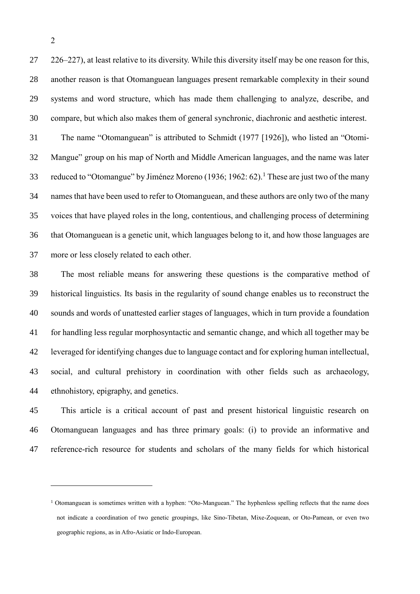226–227), at least relative to its diversity. While this diversity itself may be one reason for this, another reason is that Otomanguean languages present remarkable complexity in their sound systems and word structure, which has made them challenging to analyze, describe, and compare, but which also makes them of general synchronic, diachronic and aesthetic interest. The name "Otomanguean" is attributed to Schmidt (1977 [1926]), who listed an "Otomi-

 Mangue" group on his map of North and Middle American languages, and the name was later 33 reduced to "Otomangue" by Jiménez Moreno (1936; 1962: 62).<sup>1</sup> These are just two of the many names that have been used to refer to Otomanguean, and these authors are only two of the many voices that have played roles in the long, contentious, and challenging process of determining that Otomanguean is a genetic unit, which languages belong to it, and how those languages are more or less closely related to each other.

 The most reliable means for answering these questions is the comparative method of historical linguistics. Its basis in the regularity of sound change enables us to reconstruct the sounds and words of unattested earlier stages of languages, which in turn provide a foundation for handling less regular morphosyntactic and semantic change, and which all together may be leveraged for identifying changes due to language contact and for exploring human intellectual, social, and cultural prehistory in coordination with other fields such as archaeology, ethnohistory, epigraphy, and genetics.

 This article is a critical account of past and present historical linguistic research on Otomanguean languages and has three primary goals: (i) to provide an informative and reference-rich resource for students and scholars of the many fields for which historical

<u>.</u>

 Otomanguean is sometimes written with a hyphen: "Oto-Manguean." The hyphenless spelling reflects that the name does not indicate a coordination of two genetic groupings, like Sino-Tibetan, Mixe-Zoquean, or Oto-Pamean, or even two geographic regions, as in Afro-Asiatic or Indo-European.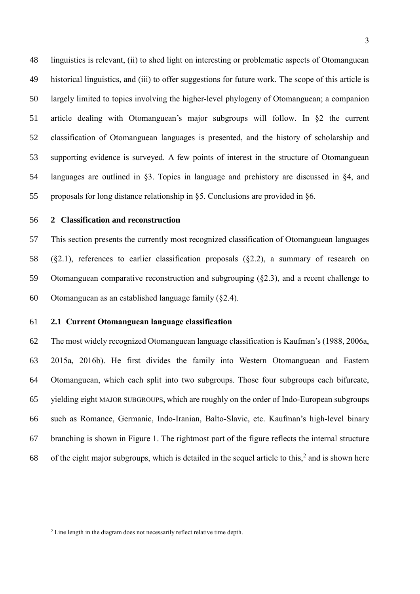linguistics is relevant, (ii) to shed light on interesting or problematic aspects of Otomanguean historical linguistics, and (iii) to offer suggestions for future work. The scope of this article is largely limited to topics involving the higher-level phylogeny of Otomanguean; a companion article dealing with Otomanguean's major subgroups will follow. In [§2](#page-2-0) the current classification of Otomanguean languages is presented, and the history of scholarship and supporting evidence is surveyed. A few points of interest in the structure of Otomanguean languages are outlined in [§3.](#page-11-0) Topics in language and prehistory are discussed in [§4,](#page-15-0) and proposals for long distance relationship in [§5.](#page-20-0) Conclusions are provided in [§6.](#page-21-0)

### <span id="page-2-0"></span>**2 Classification and reconstruction**

 This section presents the currently most recognized classification of Otomanguean languages ([§2.1\)](#page-2-1), references to earlier classification proposals ([§2.2\)](#page-4-0), a summary of research on Otomanguean comparative reconstruction and subgrouping ([§2.3\)](#page-5-0), and a recent challenge to Otomanguean as an established language family ([§2.4\)](#page-10-0).

### <span id="page-2-1"></span>**2.1 Current Otomanguean language classification**

 The most widely recognized Otomanguean language classification is Kaufman's (1988, 2006a, 2015a, 2016b). He first divides the family into Western Otomanguean and Eastern Otomanguean, which each split into two subgroups. Those four subgroups each bifurcate, yielding eight MAJOR SUBGROUPS, which are roughly on the order of Indo-European subgroups such as Romance, Germanic, Indo-Iranian, Balto-Slavic, etc. Kaufman's high-level binary branching is shown in [Figure 1.](#page-3-0) The rightmost part of the figure reflects the internal structure 68 of the eight major subgroups, which is detailed in the sequel article to this, and is shown here

<sup>&</sup>lt;sup>2</sup> Line length in the diagram does not necessarily reflect relative time depth.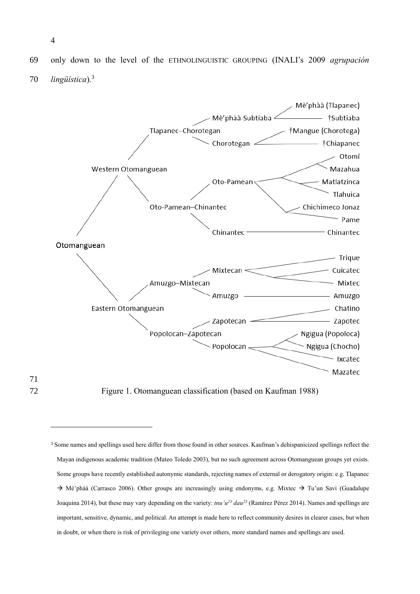69 only down to the level of the ETHNOLINGUISTIC GROUPING (INALI's 2009 *agrupación lingüística*).<sup>3</sup> 70



71

<u>.</u>

<span id="page-3-0"></span>72 Figure 1. Otomanguean classification (based on Kaufman 1988)

<sup>&</sup>lt;sup>3</sup> Some names and spellings used here differ from those found in other sources. Kaufman's dehispanicized spellings reflect the Mayan indigenous academic tradition (Mateo Toledo 2003), but no such agreement across Otomanguean groups yet exists. Some groups have recently established autonymic standards, rejecting names of external or derogatory origin: e.g. Tlapanec  $\rightarrow$  Mè'phàà (Carrasco 2006). Other groups are increasingly using endonyms, e.g. Mixtec  $\rightarrow$  Tu'un Savi (Guadalupe Joaquina 2014), but these may vary depending on the variety: *tnu'u<sup>23</sup> dau<sup>23</sup>* (Ramírez Pérez 2014). Names and spellings are important, sensitive, dynamic, and political. An attempt is made here to reflect community desires in clearer cases, but when in doubt, or when there is risk of privileging one variety over others, more standard names and spellings are used.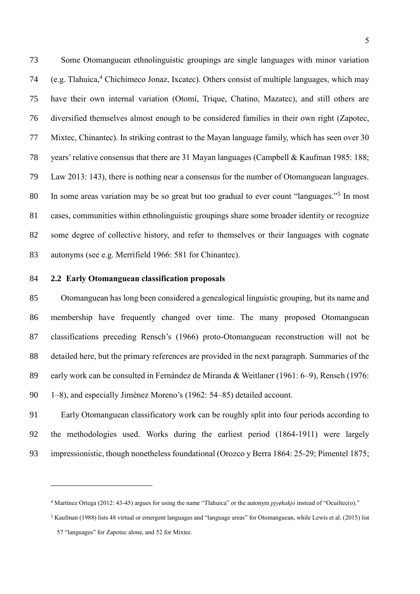Some Otomanguean ethnolinguistic groupings are single languages with minor variation 74 (e.g. Tlahuica,<sup>4</sup> Chichimeco Jonaz, Ixcatec). Others consist of multiple languages, which may have their own internal variation (Otomí, Trique, Chatino, Mazatec), and still others are diversified themselves almost enough to be considered families in their own right (Zapotec, Mixtec, Chinantec). In striking contrast to the Mayan language family, which has seen over 30 years' relative consensus that there are 31 Mayan languages (Campbell & Kaufman 1985: 188; Law 2013: 143), there is nothing near a consensus for the number of Otomanguean languages. 80 In some areas variation may be so great but too gradual to ever count "languages."<sup>5</sup> In most cases, communities within ethnolinguistic groupings share some broader identity or recognize some degree of collective history, and refer to themselves or their languages with cognate autonyms (see e.g. Merrifield 1966: 581 for Chinantec).

### <span id="page-4-0"></span>**2.2 Early Otomanguean classification proposals**

 Otomanguean has long been considered a genealogical linguistic grouping, but its name and membership have frequently changed over time. The many proposed Otomanguean classifications preceding Rensch's (1966) proto-Otomanguean reconstruction will not be detailed here, but the primary references are provided in the next paragraph. Summaries of the 89 early work can be consulted in Fernández de Miranda & Weitlaner (1961: 6–9), Rensch (1976: 1–8), and especially Jiménez Moreno's (1962: 54–85) detailed account.

 Early Otomanguean classificatory work can be roughly split into four periods according to the methodologies used. Works during the earliest period (1864-1911) were largely impressionistic, though nonetheless foundational (Orozco y Berra 1864: 25-29; Pimentel 1875;

<u>.</u>

<sup>&</sup>lt;sup>4</sup> Martínez Ortega (2012: 43-45) argues for using the name "Tlahuica" or the autonym *pjyėkakjó* instead of "Ocuiltec(o)."

Kaufman (1988) lists 48 virtual or emergent languages and "language areas" for Otomanguean, while Lewis et al. (2015) list

"languages" for Zapotec alone, and 52 for Mixtec.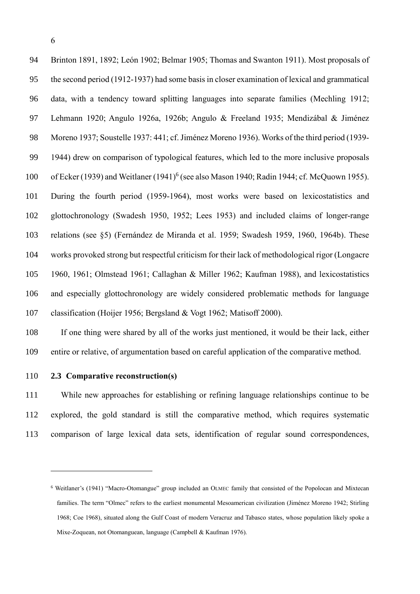Brinton 1891, 1892; León 1902; Belmar 1905; Thomas and Swanton 1911). Most proposals of the second period (1912-1937) had some basis in closer examination of lexical and grammatical data, with a tendency toward splitting languages into separate families (Mechling 1912; Lehmann 1920; Angulo 1926a, 1926b; Angulo & Freeland 1935; Mendizábal & Jiménez Moreno 1937; Soustelle 1937: 441; cf. Jiménez Moreno 1936). Works of the third period (1939- 1944) drew on comparison of typological features, which led to the more inclusive proposals 100 of Ecker (1939) and Weitlaner (1941)<sup>6</sup> (see also Mason 1940; Radin 1944; cf. McQuown 1955). During the fourth period (1959-1964), most works were based on lexicostatistics and glottochronology (Swadesh 1950, 1952; Lees 1953) and included claims of longer-range relations (see [§5\)](#page-20-0) (Fernández de Miranda et al. 1959; Swadesh 1959, 1960, 1964b). These works provoked strong but respectful criticism for their lack of methodological rigor (Longacre 1960, 1961; Olmstead 1961; Callaghan & Miller 1962; Kaufman 1988), and lexicostatistics and especially glottochronology are widely considered problematic methods for language classification (Hoijer 1956; Bergsland & Vogt 1962; Matisoff 2000).

 If one thing were shared by all of the works just mentioned, it would be their lack, either entire or relative, of argumentation based on careful application of the comparative method.

<span id="page-5-0"></span>**2.3 Comparative reconstruction(s)**

 While new approaches for establishing or refining language relationships continue to be explored, the gold standard is still the comparative method, which requires systematic comparison of large lexical data sets, identification of regular sound correspondences,

 Weitlaner's (1941) "Macro-Otomangue" group included an OLMEC family that consisted of the Popolocan and Mixtecan families. The term "Olmec" refers to the earliest monumental Mesoamerican civilization (Jiménez Moreno 1942; Stirling 1968; Coe 1968), situated along the Gulf Coast of modern Veracruz and Tabasco states, whose population likely spoke a Mixe-Zoquean, not Otomanguean, language (Campbell & Kaufman 1976).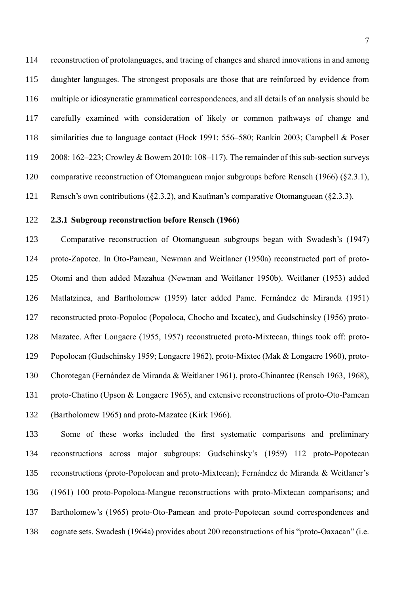reconstruction of protolanguages, and tracing of changes and shared innovations in and among daughter languages. The strongest proposals are those that are reinforced by evidence from multiple or idiosyncratic grammatical correspondences, and all details of an analysis should be carefully examined with consideration of likely or common pathways of change and similarities due to language contact (Hock 1991: 556–580; Rankin 2003; Campbell & Poser 2008: 162–223; Crowley & Bowern 2010: 108–117). The remainder of this sub-section surveys comparative reconstruction of Otomanguean major subgroups before Rensch (1966) ([§2.3.1\)](#page-6-0), Rensch's own contributions ([§2.3.2\)](#page-7-0), and Kaufman's comparative Otomanguean ([§2.3.3\)](#page-8-0).

### <span id="page-6-0"></span>**2.3.1 Subgroup reconstruction before Rensch (1966)**

 Comparative reconstruction of Otomanguean subgroups began with Swadesh's (1947) proto-Zapotec. In Oto-Pamean, Newman and Weitlaner (1950a) reconstructed part of proto- Otomí and then added Mazahua (Newman and Weitlaner 1950b). Weitlaner (1953) added Matlatzinca, and Bartholomew (1959) later added Pame. Fernández de Miranda (1951) reconstructed proto-Popoloc (Popoloca, Chocho and Ixcatec), and Gudschinsky (1956) proto- Mazatec. After Longacre (1955, 1957) reconstructed proto-Mixtecan, things took off: proto- Popolocan (Gudschinsky 1959; Longacre 1962), proto-Mixtec (Mak & Longacre 1960), proto- Chorotegan (Fernández de Miranda & Weitlaner 1961), proto-Chinantec (Rensch 1963, 1968), proto-Chatino (Upson & Longacre 1965), and extensive reconstructions of proto-Oto-Pamean (Bartholomew 1965) and proto-Mazatec (Kirk 1966).

 Some of these works included the first systematic comparisons and preliminary reconstructions across major subgroups: Gudschinsky's (1959) 112 proto-Popotecan reconstructions (proto-Popolocan and proto-Mixtecan); Fernández de Miranda & Weitlaner's (1961) 100 proto-Popoloca-Mangue reconstructions with proto-Mixtecan comparisons; and Bartholomew's (1965) proto-Oto-Pamean and proto-Popotecan sound correspondences and cognate sets. Swadesh (1964a) provides about 200 reconstructions of his "proto-Oaxacan" (i.e.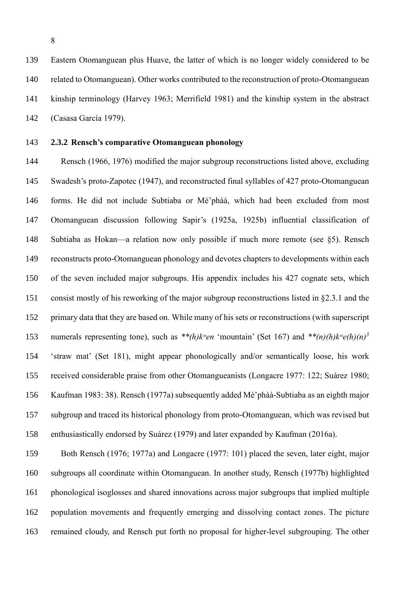Eastern Otomanguean plus Huave, the latter of which is no longer widely considered to be related to Otomanguean). Other works contributed to the reconstruction of proto-Otomanguean kinship terminology (Harvey 1963; Merrifield 1981) and the kinship system in the abstract (Casasa García 1979).

### <span id="page-7-0"></span>**2.3.2 Rensch's comparative Otomanguean phonology**

 Rensch (1966, 1976) modified the major subgroup reconstructions listed above, excluding Swadesh's proto-Zapotec (1947), and reconstructed final syllables of 427 proto-Otomanguean forms. He did not include Subtiaba or Mè'phàà, which had been excluded from most Otomanguean discussion following Sapir's (1925a, 1925b) influential classification of Subtiaba as Hokan—a relation now only possible if much more remote (see [§5\)](#page-20-0). Rensch reconstructs proto-Otomanguean phonology and devotes chapters to developments within each of the seven included major subgroups. His appendix includes his 427 cognate sets, which consist mostly of his reworking of the major subgroup reconstructions listed in [§2.3.1](#page-6-0) and the primary data that they are based on. While many of his sets or reconstructions (with superscript numerals representing tone), such as  $**$ (h)kwen 'mountain' (Set 167) and  $**$ (n)(h)kwe(h)(n)<sup>3</sup> 'straw mat' (Set 181), might appear phonologically and/or semantically loose, his work received considerable praise from other Otomangueanists (Longacre 1977: 122; Suárez 1980; Kaufman 1983: 38). Rensch (1977a) subsequently added Mè'phàà-Subtiaba as an eighth major subgroup and traced its historical phonology from proto-Otomanguean, which was revised but enthusiastically endorsed by Suárez (1979) and later expanded by Kaufman (2016a).

 Both Rensch (1976; 1977a) and Longacre (1977: 101) placed the seven, later eight, major subgroups all coordinate within Otomanguean. In another study, Rensch (1977b) highlighted phonological isoglosses and shared innovations across major subgroups that implied multiple population movements and frequently emerging and dissolving contact zones. The picture remained cloudy, and Rensch put forth no proposal for higher-level subgrouping. The other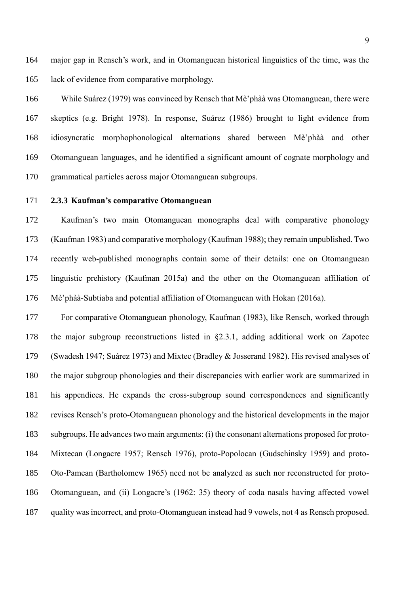major gap in Rensch's work, and in Otomanguean historical linguistics of the time, was the lack of evidence from comparative morphology.

 While Suárez (1979) was convinced by Rensch that Mè'phàà was Otomanguean, there were skeptics (e.g. Bright 1978). In response, Suárez (1986) brought to light evidence from idiosyncratic morphophonological alternations shared between Mè'phàà and other Otomanguean languages, and he identified a significant amount of cognate morphology and grammatical particles across major Otomanguean subgroups.

### <span id="page-8-0"></span>**2.3.3 Kaufman's comparative Otomanguean**

 Kaufman's two main Otomanguean monographs deal with comparative phonology (Kaufman 1983) and comparative morphology (Kaufman 1988); they remain unpublished. Two recently web-published monographs contain some of their details: one on Otomanguean linguistic prehistory (Kaufman 2015a) and the other on the Otomanguean affiliation of Mè'phàà-Subtiaba and potential affiliation of Otomanguean with Hokan (2016a).

 For comparative Otomanguean phonology, Kaufman (1983), like Rensch, worked through the major subgroup reconstructions listed in [§2.3.1,](#page-6-0) adding additional work on Zapotec (Swadesh 1947; Suárez 1973) and Mixtec (Bradley & Josserand 1982). His revised analyses of the major subgroup phonologies and their discrepancies with earlier work are summarized in his appendices. He expands the cross-subgroup sound correspondences and significantly revises Rensch's proto-Otomanguean phonology and the historical developments in the major subgroups. He advances two main arguments: (i) the consonant alternations proposed for proto- Mixtecan (Longacre 1957; Rensch 1976), proto-Popolocan (Gudschinsky 1959) and proto- Oto-Pamean (Bartholomew 1965) need not be analyzed as such nor reconstructed for proto- Otomanguean, and (ii) Longacre's (1962: 35) theory of coda nasals having affected vowel quality was incorrect, and proto-Otomanguean instead had 9 vowels, not 4 as Rensch proposed.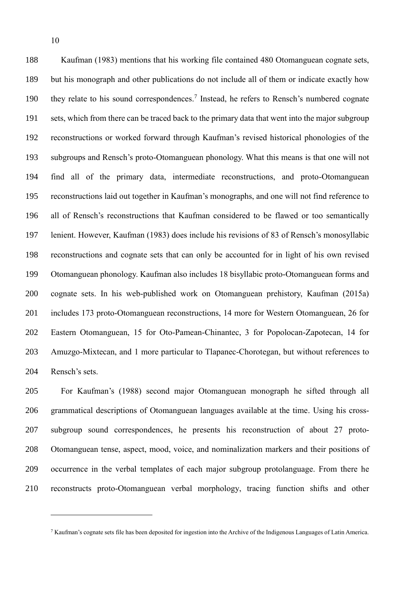Kaufman (1983) mentions that his working file contained 480 Otomanguean cognate sets, but his monograph and other publications do not include all of them or indicate exactly how 190 they relate to his sound correspondences.<sup>7</sup> Instead, he refers to Rensch's numbered cognate sets, which from there can be traced back to the primary data that went into the major subgroup reconstructions or worked forward through Kaufman's revised historical phonologies of the subgroups and Rensch's proto-Otomanguean phonology. What this means is that one will not find all of the primary data, intermediate reconstructions, and proto-Otomanguean reconstructions laid out together in Kaufman's monographs, and one will not find reference to all of Rensch's reconstructions that Kaufman considered to be flawed or too semantically lenient. However, Kaufman (1983) does include his revisions of 83 of Rensch's monosyllabic reconstructions and cognate sets that can only be accounted for in light of his own revised Otomanguean phonology. Kaufman also includes 18 bisyllabic proto-Otomanguean forms and cognate sets. In his web-published work on Otomanguean prehistory, Kaufman (2015a) includes 173 proto-Otomanguean reconstructions, 14 more for Western Otomanguean, 26 for Eastern Otomanguean, 15 for Oto-Pamean-Chinantec, 3 for Popolocan-Zapotecan, 14 for Amuzgo-Mixtecan, and 1 more particular to Tlapanec-Chorotegan, but without references to Rensch's sets.

 For Kaufman's (1988) second major Otomanguean monograph he sifted through all grammatical descriptions of Otomanguean languages available at the time. Using his cross- subgroup sound correspondences, he presents his reconstruction of about 27 proto- Otomanguean tense, aspect, mood, voice, and nominalization markers and their positions of occurrence in the verbal templates of each major subgroup protolanguage. From there he reconstructs proto-Otomanguean verbal morphology, tracing function shifts and other

Kaufman's cognate sets file has been deposited for ingestion into the Archive of the Indigenous Languages of Latin America.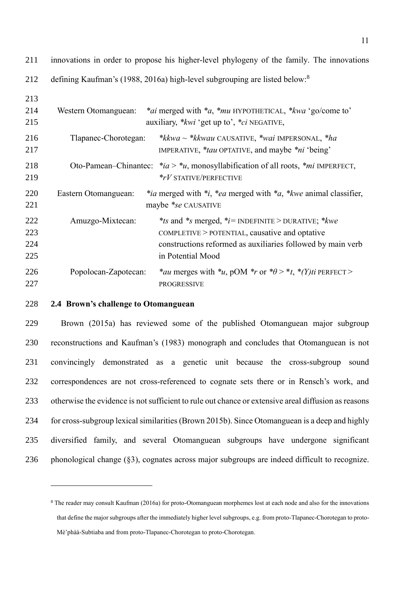| 212 |                      | defining Kaufman's (1988, 2016a) high-level subgrouping are listed below. <sup>8</sup>                       |
|-----|----------------------|--------------------------------------------------------------------------------------------------------------|
| 213 |                      |                                                                                                              |
| 214 | Western Otomanguean: | <i>*ai</i> merged with <i>*a</i> , <i>*mu</i> HYPOTHETICAL, <i>*kwa</i> 'go/come to'                         |
| 215 |                      | auxiliary, <i>*kwi</i> 'get up to', <i>*ci</i> NEGATIVE,                                                     |
| 216 | Tlapanec-Chorotegan: | <i>*kkwa ~ *kkwau</i> CAUSATIVE, <i>*wai</i> IMPERSONAL, <i>*ha</i>                                          |
| 217 |                      | IMPERATIVE, <i>*tau</i> OPTATIVE, and maybe <i>*ni</i> 'being'                                               |
| 218 |                      | Oto-Pamean–Chinantec: $*ia > *u$ , monosyllabification of all roots, $*mi$ IMPERFECT,                        |
| 219 |                      | $*_rV$ STATIVE/PERFECTIVE                                                                                    |
| 220 | Eastern Otomanguean: | <i>*ia</i> merged with <i>*i</i> , <i>*ea</i> merged with <i>*a</i> , <i>*kwe</i> animal classifier,         |
| 221 |                      | maybe *se CAUSATIVE                                                                                          |
| 222 | Amuzgo-Mixtecan:     | *ts and *s merged, *i= INDEFINITE > DURATIVE; * $kwe$                                                        |
| 223 |                      | COMPLETIVE > POTENTIAL, causative and optative                                                               |
| 224 |                      | constructions reformed as auxiliaries followed by main verb                                                  |
| 225 |                      | in Potential Mood                                                                                            |
| 226 | Popolocan-Zapotecan: | * <i>au</i> merges with * <i>u</i> , pOM * <i>r</i> or * $\theta$ > * <i>t</i> , * $(Y)$ <i>ti</i> PERFECT > |
| 227 |                      | <b>PROGRESSIVE</b>                                                                                           |

innovations in order to propose his higher-level phylogeny of the family. The innovations

### <span id="page-10-0"></span>**2.4 Brown's challenge to Otomanguean**

<u>.</u>

 Brown (2015a) has reviewed some of the published Otomanguean major subgroup reconstructions and Kaufman's (1983) monograph and concludes that Otomanguean is not convincingly demonstrated as a genetic unit because the cross-subgroup sound correspondences are not cross-referenced to cognate sets there or in Rensch's work, and otherwise the evidence is not sufficient to rule out chance or extensive areal diffusion as reasons for cross-subgroup lexical similarities(Brown 2015b). Since Otomanguean is a deep and highly diversified family, and several Otomanguean subgroups have undergone significant phonological change ([§3\)](#page-11-0), cognates across major subgroups are indeed difficult to recognize.

 The reader may consult Kaufman (2016a) for proto-Otomanguean morphemes lost at each node and also for the innovations that define the major subgroups after the immediately higher level subgroups, e.g. from proto-Tlapanec-Chorotegan to proto-Mè'phàà-Subtiaba and from proto-Tlapanec-Chorotegan to proto-Chorotegan.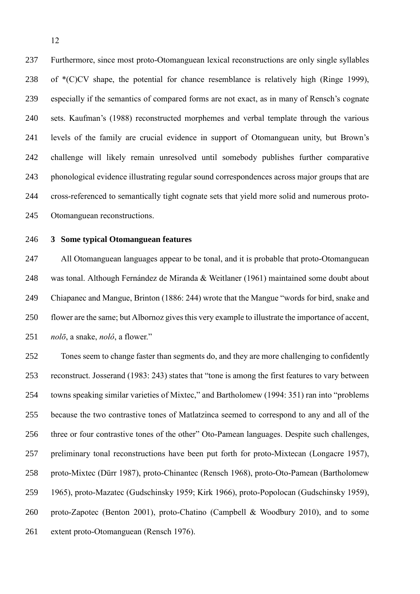Furthermore, since most proto-Otomanguean lexical reconstructions are only single syllables of \*(C)CV shape, the potential for chance resemblance is relatively high (Ringe 1999), especially if the semantics of compared forms are not exact, as in many of Rensch's cognate sets. Kaufman's (1988) reconstructed morphemes and verbal template through the various levels of the family are crucial evidence in support of Otomanguean unity, but Brown's challenge will likely remain unresolved until somebody publishes further comparative phonological evidence illustrating regular sound correspondences across major groups that are cross-referenced to semantically tight cognate sets that yield more solid and numerous proto-Otomanguean reconstructions.

<span id="page-11-0"></span>

# **3 Some typical Otomanguean features**

 All Otomanguean languages appear to be tonal, and it is probable that proto-Otomanguean was tonal. Although Fernández de Miranda & Weitlaner (1961) maintained some doubt about Chiapanec and Mangue, Brinton (1886: 244) wrote that the Mangue "words for bird, snake and flower are the same; but Albornoz gives this very example to illustrate the importance of accent, *nolō*, a snake, *nolô*, a flower."

 Tones seem to change faster than segments do, and they are more challenging to confidently reconstruct. Josserand (1983: 243) states that "tone is among the first features to vary between towns speaking similar varieties of Mixtec," and Bartholomew (1994: 351) ran into "problems because the two contrastive tones of Matlatzinca seemed to correspond to any and all of the three or four contrastive tones of the other" Oto-Pamean languages. Despite such challenges, preliminary tonal reconstructions have been put forth for proto-Mixtecan (Longacre 1957), proto-Mixtec (Dürr 1987), proto-Chinantec (Rensch 1968), proto-Oto-Pamean (Bartholomew 1965), proto-Mazatec (Gudschinsky 1959; Kirk 1966), proto-Popolocan (Gudschinsky 1959), proto-Zapotec (Benton 2001), proto-Chatino (Campbell & Woodbury 2010), and to some extent proto-Otomanguean (Rensch 1976).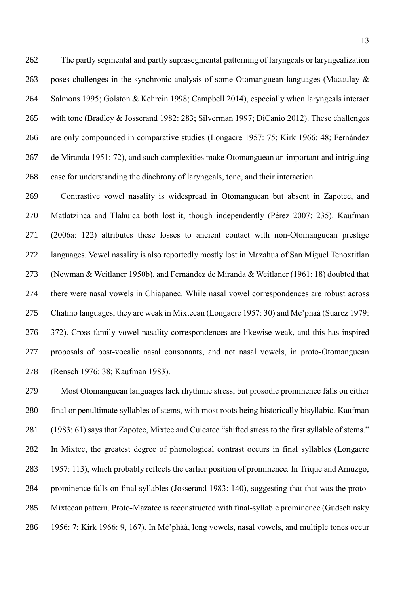The partly segmental and partly suprasegmental patterning of laryngeals or laryngealization poses challenges in the synchronic analysis of some Otomanguean languages (Macaulay & Salmons 1995; Golston & Kehrein 1998; Campbell 2014), especially when laryngeals interact with tone (Bradley & Josserand 1982: 283; Silverman 1997; DiCanio 2012). These challenges are only compounded in comparative studies (Longacre 1957: 75; Kirk 1966: 48; Fernández de Miranda 1951: 72), and such complexities make Otomanguean an important and intriguing case for understanding the diachrony of laryngeals, tone, and their interaction.

 Contrastive vowel nasality is widespread in Otomanguean but absent in Zapotec, and Matlatzinca and Tlahuica both lost it, though independently (Pérez 2007: 235). Kaufman (2006a: 122) attributes these losses to ancient contact with non-Otomanguean prestige languages. Vowel nasality is also reportedly mostly lost in Mazahua of San Miguel Tenoxtitlan (Newman & Weitlaner 1950b), and Fernández de Miranda & Weitlaner (1961: 18) doubted that there were nasal vowels in Chiapanec. While nasal vowel correspondences are robust across Chatino languages, they are weak in Mixtecan (Longacre 1957: 30) and Mè'phàà (Suárez 1979: 372). Cross-family vowel nasality correspondences are likewise weak, and this has inspired proposals of post-vocalic nasal consonants, and not nasal vowels, in proto-Otomanguean (Rensch 1976: 38; Kaufman 1983).

 Most Otomanguean languages lack rhythmic stress, but prosodic prominence falls on either final or penultimate syllables of stems, with most roots being historically bisyllabic. Kaufman (1983: 61) says that Zapotec, Mixtec and Cuicatec "shifted stress to the first syllable of stems." In Mixtec, the greatest degree of phonological contrast occurs in final syllables (Longacre 1957: 113), which probably reflects the earlier position of prominence. In Trique and Amuzgo, prominence falls on final syllables (Josserand 1983: 140), suggesting that that was the proto- Mixtecan pattern. Proto-Mazatec is reconstructed with final-syllable prominence (Gudschinsky 1956: 7; Kirk 1966: 9, 167). In Mè'phàà, long vowels, nasal vowels, and multiple tones occur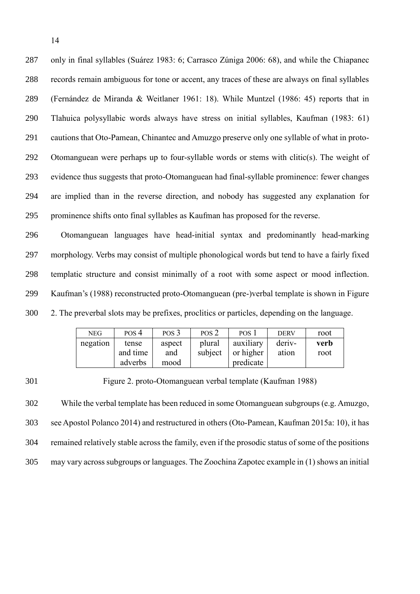only in final syllables (Suárez 1983: 6; Carrasco Zúniga 2006: 68), and while the Chiapanec records remain ambiguous for tone or accent, any traces of these are always on final syllables (Fernández de Miranda & Weitlaner 1961: 18). While Muntzel (1986: 45) reports that in Tlahuica polysyllabic words always have stress on initial syllables, Kaufman (1983: 61) cautions that Oto-Pamean, Chinantec and Amuzgo preserve only one syllable of what in proto- Otomanguean were perhaps up to four-syllable words or stems with clitic(s). The weight of evidence thus suggests that proto-Otomanguean had final-syllable prominence: fewer changes are implied than in the reverse direction, and nobody has suggested any explanation for prominence shifts onto final syllables as Kaufman has proposed for the reverse.

 Otomanguean languages have head-initial syntax and predominantly head-marking morphology. Verbs may consist of multiple phonological words but tend to have a fairly fixed templatic structure and consist minimally of a root with some aspect or mood inflection. Kaufman's (1988) reconstructed proto-Otomanguean (pre-)verbal template is shown in [Figure](#page-13-0)  [2.](#page-13-0) The preverbal slots may be prefixes, proclitics or particles, depending on the language.

| <b>NEG</b> | POS 4    | POS <sub>3</sub> | POS <sub>2</sub> | POS <sub>1</sub> | <b>DERV</b> | root |
|------------|----------|------------------|------------------|------------------|-------------|------|
| negation   | tense    | aspect           | plural           | auxiliary        | deriv-      | verb |
|            | and time | and              | subject          | or higher        | ation       | root |
|            | adverbs  | mood             |                  | predicate        |             |      |

<span id="page-13-0"></span>301 Figure 2. proto-Otomanguean verbal template (Kaufman 1988)

 While the verbal template has been reduced in some Otomanguean subgroups (e.g. Amuzgo, see Apostol Polanco 2014) and restructured in others (Oto-Pamean, Kaufman 2015a: 10), it has remained relatively stable across the family, even if the prosodic status of some of the positions may vary across subgroups or languages. The Zoochina Zapotec example in [\(1\)](#page-14-0) shows an initial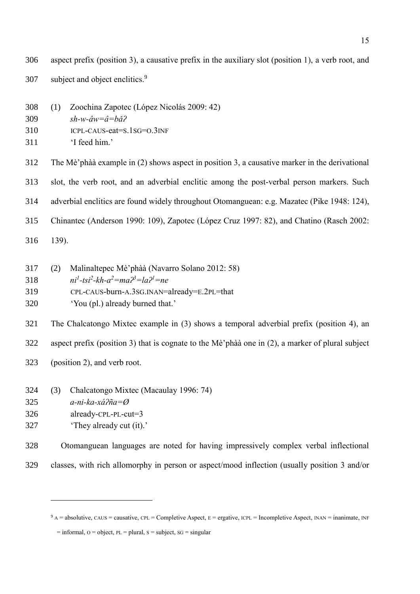aspect prefix (position 3), a causative prefix in the auxiliary slot (position 1), a verb root, and subject and object enclitics.<sup>9</sup> 

- <span id="page-14-0"></span>(1) Zoochina Zapotec (López Nicolás 2009: 42)
- *sh-w-âw=â=bǎʔ*
- ICPL-CAUS-eat=S.1SG=O.3INF
- 'I feed him.'

The Mè'phàà example in [\(2\)](#page-14-1) shows aspect in position 3, a causative marker in the derivational

slot, the verb root, and an adverbial enclitic among the post-verbal person markers. Such

adverbial enclitics are found widely throughout Otomanguean: e.g. Mazatec (Pike 1948: 124),

- Chinantec (Anderson 1990: 109), Zapotec (López Cruz 1997: 82), and Chatino (Rasch 2002:
- 139).

<span id="page-14-1"></span>

| 317 | (2) | Malinaltepec Mè'phàà (Navarro Solano 2012: 58)                                  |
|-----|-----|---------------------------------------------------------------------------------|
| 318 |     | $ni^{1}$ -tsi <sup>2</sup> -kh-a <sup>2</sup> =ma $\chi^{3}$ =la $\chi^{1}$ =ne |
| 319 |     | CPL-CAUS-burn-A.3SG.INAN=already=E.2PL=that                                     |
| 320 |     | 'You (pl.) already burned that.'                                                |

 The Chalcatongo Mixtec example in [\(3\)](#page-14-2) shows a temporal adverbial prefix (position 4), an aspect prefix (position 3) that is cognate to the Mè'phàà one in [\(2\),](#page-14-1) a marker of plural subject

- (position 2), and verb root.
- <span id="page-14-2"></span>(3) Chalcatongo Mixtec (Macaulay 1996: 74)
- *a-ni-ka-xáʔña=Ø*

<u>.</u>

- already-CPL-PL-cut=3
- 'They already cut (it).'

Otomanguean languages are noted for having impressively complex verbal inflectional

classes, with rich allomorphy in person or aspect/mood inflection (usually position 3 and/or

 $9 A = absolute, CAUS = causative, CPL = Complete Aspect, E = ergative, ICL = Incomplete Aspect, INAR = inanimate, INF$ 

 $=$  informal,  $\Omega$  = object, PL = plural, S = subject, SG = singular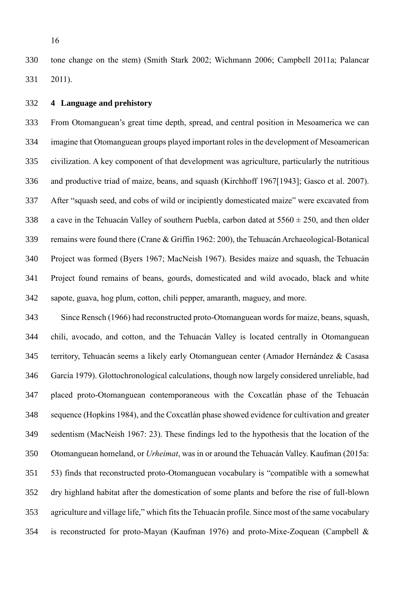tone change on the stem) (Smith Stark 2002; Wichmann 2006; Campbell 2011a; Palancar 2011).

#### <span id="page-15-0"></span>**4 Language and prehistory**

 From Otomanguean's great time depth, spread, and central position in Mesoamerica we can imagine that Otomanguean groups played important roles in the development of Mesoamerican civilization. A key component of that development was agriculture, particularly the nutritious and productive triad of maize, beans, and squash (Kirchhoff 1967[1943]; Gasco et al. 2007). After "squash seed, and cobs of wild or incipiently domesticated maize" were excavated from 338 a cave in the Tehuacán Valley of southern Puebla, carbon dated at  $5560 \pm 250$ , and then older remains were found there (Crane & Griffin 1962: 200), the Tehuacán Archaeological-Botanical Project was formed (Byers 1967; MacNeish 1967). Besides maize and squash, the Tehuacán Project found remains of beans, gourds, domesticated and wild avocado, black and white sapote, guava, hog plum, cotton, chili pepper, amaranth, maguey, and more.

 Since Rensch (1966) had reconstructed proto-Otomanguean words for maize, beans, squash, chili, avocado, and cotton, and the Tehuacán Valley is located centrally in Otomanguean territory, Tehuacán seems a likely early Otomanguean center (Amador Hernández & Casasa García 1979). Glottochronological calculations, though now largely considered unreliable, had placed proto-Otomanguean contemporaneous with the Coxcatlán phase of the Tehuacán sequence (Hopkins 1984), and the Coxcatlán phase showed evidence for cultivation and greater sedentism (MacNeish 1967: 23). These findings led to the hypothesis that the location of the Otomanguean homeland, or *Urheimat*, was in or around the Tehuacán Valley. Kaufman (2015a: 53) finds that reconstructed proto-Otomanguean vocabulary is "compatible with a somewhat dry highland habitat after the domestication of some plants and before the rise of full-blown agriculture and village life," which fits the Tehuacán profile. Since most of the same vocabulary is reconstructed for proto-Mayan (Kaufman 1976) and proto-Mixe-Zoquean (Campbell &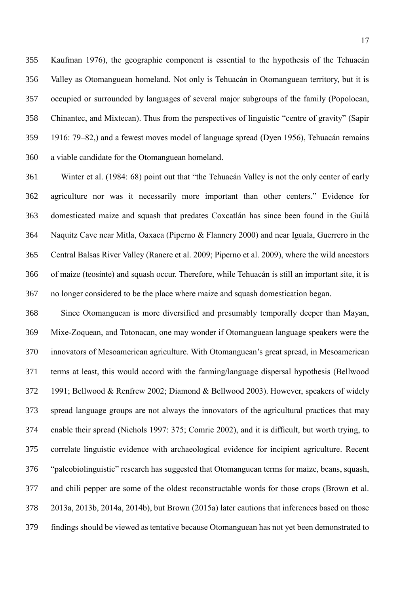Kaufman 1976), the geographic component is essential to the hypothesis of the Tehuacán Valley as Otomanguean homeland. Not only is Tehuacán in Otomanguean territory, but it is occupied or surrounded by languages of several major subgroups of the family (Popolocan, Chinantec, and Mixtecan). Thus from the perspectives of linguistic "centre of gravity" (Sapir 1916: 79–82,) and a fewest moves model of language spread (Dyen 1956), Tehuacán remains a viable candidate for the Otomanguean homeland.

 Winter et al. (1984: 68) point out that "the Tehuacán Valley is not the only center of early agriculture nor was it necessarily more important than other centers." Evidence for domesticated maize and squash that predates Coxcatlán has since been found in the Guilá Naquitz Cave near Mitla, Oaxaca (Piperno & Flannery 2000) and near Iguala, Guerrero in the Central Balsas River Valley (Ranere et al. 2009; Piperno et al. 2009), where the wild ancestors of maize (teosinte) and squash occur. Therefore, while Tehuacán is still an important site, it is no longer considered to be the place where maize and squash domestication began.

 Since Otomanguean is more diversified and presumably temporally deeper than Mayan, Mixe-Zoquean, and Totonacan, one may wonder if Otomanguean language speakers were the innovators of Mesoamerican agriculture. With Otomanguean's great spread, in Mesoamerican terms at least, this would accord with the farming/language dispersal hypothesis (Bellwood 1991; Bellwood & Renfrew 2002; Diamond & Bellwood 2003). However, speakers of widely spread language groups are not always the innovators of the agricultural practices that may enable their spread (Nichols 1997: 375; Comrie 2002), and it is difficult, but worth trying, to correlate linguistic evidence with archaeological evidence for incipient agriculture. Recent "paleobiolinguistic" research has suggested that Otomanguean terms for maize, beans, squash, and chili pepper are some of the oldest reconstructable words for those crops (Brown et al. 2013a, 2013b, 2014a, 2014b), but Brown (2015a) later cautions that inferences based on those findings should be viewed as tentative because Otomanguean has not yet been demonstrated to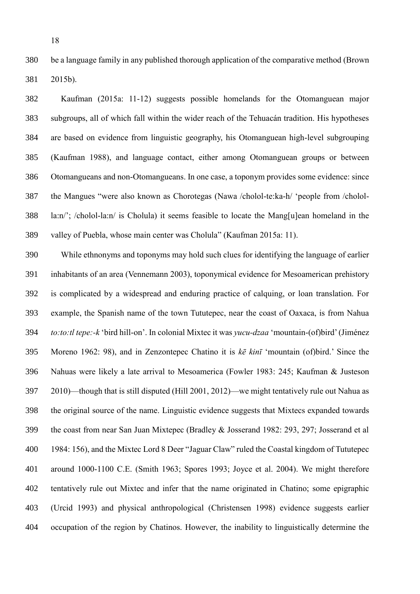be a language family in any published thorough application of the comparative method (Brown 2015b).

 Kaufman (2015a: 11-12) suggests possible homelands for the Otomanguean major subgroups, all of which fall within the wider reach of the Tehuacán tradition. His hypotheses are based on evidence from linguistic geography, his Otomanguean high-level subgrouping (Kaufman 1988), and language contact, either among Otomanguean groups or between Otomangueans and non-Otomangueans. In one case, a toponym provides some evidence: since the Mangues "were also known as Chorotegas (Nawa /cholol-te:ka-h/ 'people from /cholol- la:n/'; /cholol-la:n/ is Cholula) it seems feasible to locate the Mang[u]ean homeland in the valley of Puebla, whose main center was Cholula" (Kaufman 2015a: 11).

 While ethnonyms and toponyms may hold such clues for identifying the language of earlier inhabitants of an area (Vennemann 2003), toponymical evidence for Mesoamerican prehistory is complicated by a widespread and enduring practice of calquing, or loan translation. For example, the Spanish name of the town Tututepec, near the coast of Oaxaca, is from Nahua *to:to:tl tepe:-k* 'bird hill-on'. In colonial Mixtec it was *yucu-dzaa* 'mountain-(of)bird' (Jiménez Moreno 1962: 98), and in Zenzontepec Chatino it is *kē kinī* 'mountain (of)bird.' Since the Nahuas were likely a late arrival to Mesoamerica (Fowler 1983: 245; Kaufman & Justeson 2010)—though that is still disputed (Hill 2001, 2012)—we might tentatively rule out Nahua as the original source of the name. Linguistic evidence suggests that Mixtecs expanded towards the coast from near San Juan Mixtepec (Bradley & Josserand 1982: 293, 297; Josserand et al 1984: 156), and the Mixtec Lord 8 Deer "Jaguar Claw" ruled the Coastal kingdom of Tututepec around 1000-1100 C.E. (Smith 1963; Spores 1993; Joyce et al. 2004). We might therefore tentatively rule out Mixtec and infer that the name originated in Chatino; some epigraphic (Urcid 1993) and physical anthropological (Christensen 1998) evidence suggests earlier occupation of the region by Chatinos. However, the inability to linguistically determine the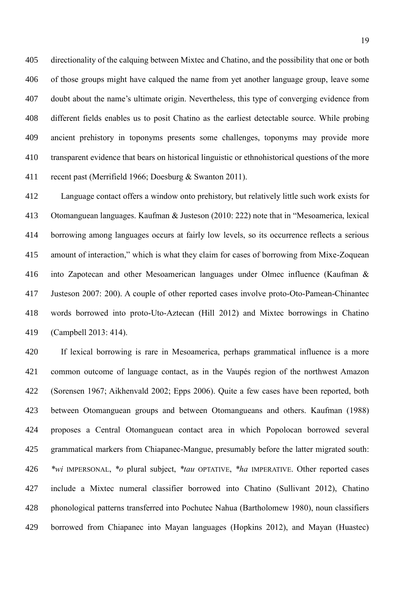directionality of the calquing between Mixtec and Chatino, and the possibility that one or both of those groups might have calqued the name from yet another language group, leave some doubt about the name's ultimate origin. Nevertheless, this type of converging evidence from different fields enables us to posit Chatino as the earliest detectable source. While probing ancient prehistory in toponyms presents some challenges, toponyms may provide more transparent evidence that bears on historical linguistic or ethnohistorical questions of the more recent past (Merrifield 1966; Doesburg & Swanton 2011).

 Language contact offers a window onto prehistory, but relatively little such work exists for Otomanguean languages. Kaufman & Justeson (2010: 222) note that in "Mesoamerica, lexical borrowing among languages occurs at fairly low levels, so its occurrence reflects a serious amount of interaction," which is what they claim for cases of borrowing from Mixe-Zoquean into Zapotecan and other Mesoamerican languages under Olmec influence (Kaufman & Justeson 2007: 200). A couple of other reported cases involve proto-Oto-Pamean-Chinantec words borrowed into proto-Uto-Aztecan (Hill 2012) and Mixtec borrowings in Chatino (Campbell 2013: 414).

 If lexical borrowing is rare in Mesoamerica, perhaps grammatical influence is a more common outcome of language contact, as in the Vaupés region of the northwest Amazon (Sorensen 1967; Aikhenvald 2002; Epps 2006). Quite a few cases have been reported, both between Otomanguean groups and between Otomangueans and others. Kaufman (1988) proposes a Central Otomanguean contact area in which Popolocan borrowed several grammatical markers from Chiapanec-Mangue, presumably before the latter migrated south: *\*wi* IMPERSONAL, *\*o* plural subject, *\*tau* OPTATIVE, *\*ha* IMPERATIVE. Other reported cases include a Mixtec numeral classifier borrowed into Chatino (Sullivant 2012), Chatino phonological patterns transferred into Pochutec Nahua (Bartholomew 1980), noun classifiers borrowed from Chiapanec into Mayan languages (Hopkins 2012), and Mayan (Huastec)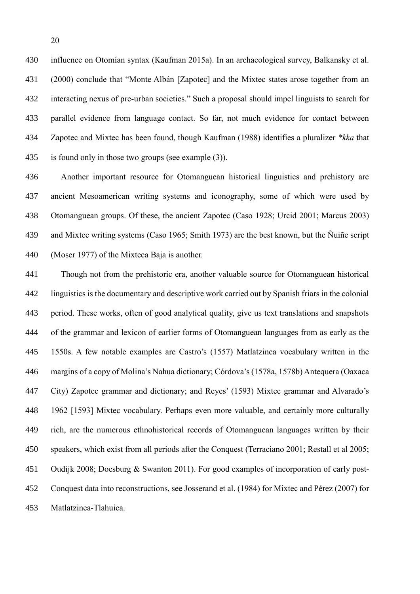influence on Otomían syntax (Kaufman 2015a). In an archaeological survey, Balkansky et al. (2000) conclude that "Monte Albán [Zapotec] and the Mixtec states arose together from an interacting nexus of pre-urban societies." Such a proposal should impel linguists to search for parallel evidence from language contact. So far, not much evidence for contact between Zapotec and Mixtec has been found, though Kaufman (1988) identifies a pluralizer *\*kka* that is found only in those two groups (see example [\(3\)\)](#page-14-2).

 Another important resource for Otomanguean historical linguistics and prehistory are ancient Mesoamerican writing systems and iconography, some of which were used by Otomanguean groups. Of these, the ancient Zapotec (Caso 1928; Urcid 2001; Marcus 2003) and Mixtec writing systems (Caso 1965; Smith 1973) are the best known, but the Ñuiñe script (Moser 1977) of the Mixteca Baja is another.

 Though not from the prehistoric era, another valuable source for Otomanguean historical linguistics is the documentary and descriptive work carried out by Spanish friars in the colonial period. These works, often of good analytical quality, give us text translations and snapshots of the grammar and lexicon of earlier forms of Otomanguean languages from as early as the 1550s. A few notable examples are Castro's (1557) Matlatzinca vocabulary written in the margins of a copy of Molina's Nahua dictionary; Córdova's (1578a, 1578b) Antequera (Oaxaca City) Zapotec grammar and dictionary; and Reyes' (1593) Mixtec grammar and Alvarado's 1962 [1593] Mixtec vocabulary. Perhaps even more valuable, and certainly more culturally rich, are the numerous ethnohistorical records of Otomanguean languages written by their speakers, which exist from all periods after the Conquest (Terraciano 2001; Restall et al 2005; Oudijk 2008; Doesburg & Swanton 2011). For good examples of incorporation of early post- Conquest data into reconstructions, see Josserand et al. (1984) for Mixtec and Pérez (2007) for Matlatzinca-Tlahuica.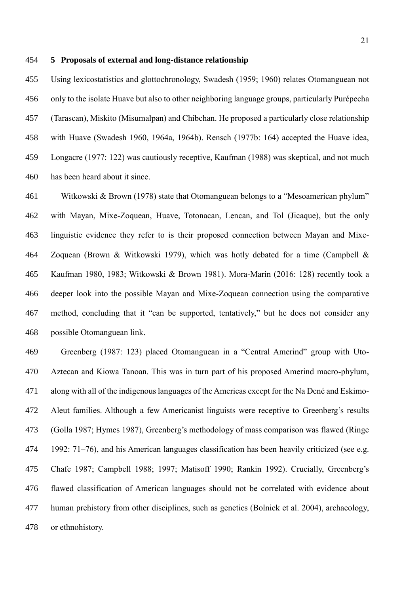### <span id="page-20-0"></span>**5 Proposals of external and long-distance relationship**

 Using lexicostatistics and glottochronology, Swadesh (1959; 1960) relates Otomanguean not only to the isolate Huave but also to other neighboring language groups, particularly Purépecha (Tarascan), Miskito (Misumalpan) and Chibchan. He proposed a particularly close relationship with Huave (Swadesh 1960, 1964a, 1964b). Rensch (1977b: 164) accepted the Huave idea, Longacre (1977: 122) was cautiously receptive, Kaufman (1988) was skeptical, and not much has been heard about it since.

 Witkowski & Brown (1978) state that Otomanguean belongs to a "Mesoamerican phylum" with Mayan, Mixe-Zoquean, Huave, Totonacan, Lencan, and Tol (Jicaque), but the only linguistic evidence they refer to is their proposed connection between Mayan and Mixe- Zoquean (Brown & Witkowski 1979), which was hotly debated for a time (Campbell & Kaufman 1980, 1983; Witkowski & Brown 1981). Mora-Marín (2016: 128) recently took a deeper look into the possible Mayan and Mixe-Zoquean connection using the comparative method, concluding that it "can be supported, tentatively," but he does not consider any possible Otomanguean link.

 Greenberg (1987: 123) placed Otomanguean in a "Central Amerind" group with Uto- Aztecan and Kiowa Tanoan. This was in turn part of his proposed Amerind macro-phylum, along with all of the indigenous languages of the Americas except for the Na Dené and Eskimo- Aleut families. Although a few Americanist linguists were receptive to Greenberg's results (Golla 1987; Hymes 1987), Greenberg's methodology of mass comparison was flawed (Ringe 1992: 71–76), and his American languages classification has been heavily criticized (see e.g. Chafe 1987; Campbell 1988; 1997; Matisoff 1990; Rankin 1992). Crucially, Greenberg's flawed classification of American languages should not be correlated with evidence about human prehistory from other disciplines, such as genetics (Bolnick et al. 2004), archaeology, or ethnohistory.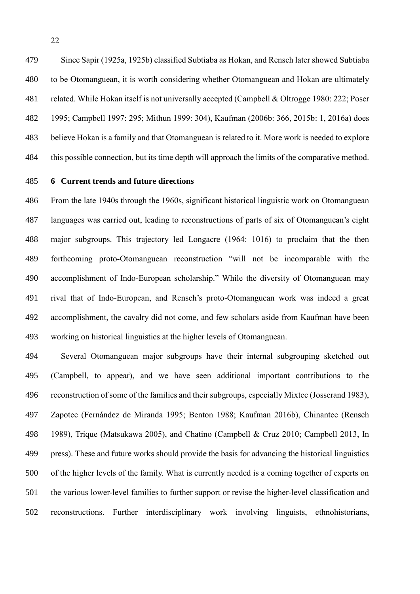Since Sapir (1925a, 1925b) classified Subtiaba as Hokan, and Rensch later showed Subtiaba to be Otomanguean, it is worth considering whether Otomanguean and Hokan are ultimately related. While Hokan itself is not universally accepted (Campbell & Oltrogge 1980: 222; Poser 1995; Campbell 1997: 295; Mithun 1999: 304), Kaufman (2006b: 366, 2015b: 1, 2016a) does believe Hokan is a family and that Otomanguean is related to it. More work is needed to explore this possible connection, but its time depth will approach the limits of the comparative method.

## <span id="page-21-0"></span>**6 Current trends and future directions**

 From the late 1940s through the 1960s, significant historical linguistic work on Otomanguean languages was carried out, leading to reconstructions of parts of six of Otomanguean's eight major subgroups. This trajectory led Longacre (1964: 1016) to proclaim that the then forthcoming proto-Otomanguean reconstruction "will not be incomparable with the accomplishment of Indo-European scholarship." While the diversity of Otomanguean may rival that of Indo-European, and Rensch's proto-Otomanguean work was indeed a great accomplishment, the cavalry did not come, and few scholars aside from Kaufman have been working on historical linguistics at the higher levels of Otomanguean.

 Several Otomanguean major subgroups have their internal subgrouping sketched out (Campbell, to appear), and we have seen additional important contributions to the reconstruction of some of the families and their subgroups, especially Mixtec (Josserand 1983), Zapotec (Fernández de Miranda 1995; Benton 1988; Kaufman 2016b), Chinantec (Rensch 1989), Trique (Matsukawa 2005), and Chatino (Campbell & Cruz 2010; Campbell 2013, In press). These and future works should provide the basis for advancing the historical linguistics of the higher levels of the family. What is currently needed is a coming together of experts on the various lower-level families to further support or revise the higher-level classification and reconstructions. Further interdisciplinary work involving linguists, ethnohistorians,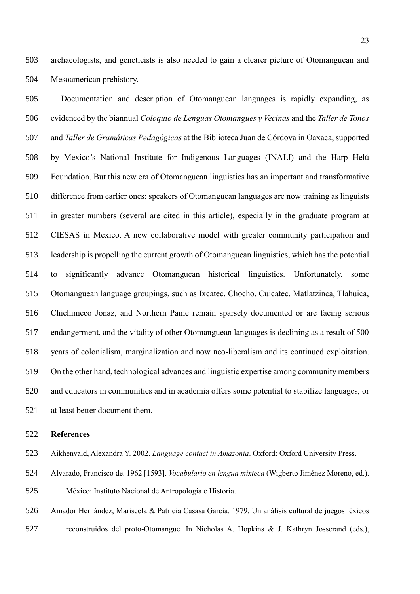archaeologists, and geneticists is also needed to gain a clearer picture of Otomanguean and Mesoamerican prehistory.

 Documentation and description of Otomanguean languages is rapidly expanding, as evidenced by the biannual *Coloquio de Lenguas Otomangues y Vecinas* and the *Taller de Tonos*  and *Taller de Gramáticas Pedagógicas* at the Biblioteca Juan de Córdova in Oaxaca, supported by Mexico's National Institute for Indigenous Languages (INALI) and the Harp Helú Foundation. But this new era of Otomanguean linguistics has an important and transformative difference from earlier ones: speakers of Otomanguean languages are now training as linguists in greater numbers (several are cited in this article), especially in the graduate program at CIESAS in Mexico. A new collaborative model with greater community participation and leadership is propelling the current growth of Otomanguean linguistics, which has the potential to significantly advance Otomanguean historical linguistics. Unfortunately, some Otomanguean language groupings, such as Ixcatec, Chocho, Cuicatec, Matlatzinca, Tlahuica, Chichimeco Jonaz, and Northern Pame remain sparsely documented or are facing serious endangerment, and the vitality of other Otomanguean languages is declining as a result of 500 years of colonialism, marginalization and now neo-liberalism and its continued exploitation. On the other hand, technological advances and linguistic expertise among community members and educators in communities and in academia offers some potential to stabilize languages, or at least better document them.

#### **References**

Aikhenvald, Alexandra Y. 2002. *Language contact in Amazonia*. Oxford: Oxford University Press.

 Alvarado, Francisco de. 1962 [1593]. *Vocabulario en lengua mixteca* (Wigberto Jiménez Moreno, ed.). México: Instituto Nacional de Antropología e Historia.

 Amador Hernández, Mariscela & Patricia Casasa García. 1979. Un análisis cultural de juegos léxicos reconstruidos del proto-Otomangue. In Nicholas A. Hopkins & J. Kathryn Josserand (eds.),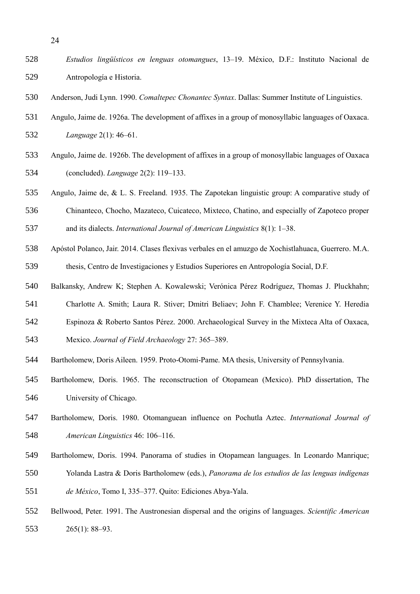- *Estudios lingüísticos en lenguas otomangues*, 13–19. México, D.F.: Instituto Nacional de Antropología e Historia.
- Anderson, Judi Lynn. 1990. *Comaltepec Chonantec Syntax*. Dallas: Summer Institute of Linguistics.
- Angulo, Jaime de. 1926a. The development of affixes in a group of monosyllabic languages of Oaxaca.

*Language* 2(1): 46–61.

- Angulo, Jaime de. 1926b. The development of affixes in a group of monosyllabic languages of Oaxaca (concluded). *Language* 2(2): 119–133.
- Angulo, Jaime de, & L. S. Freeland. 1935. The Zapotekan linguistic group: A comparative study of
- Chinanteco, Chocho, Mazateco, Cuicateco, Mixteco, Chatino, and especially of Zapoteco proper and its dialects. *International Journal of American Linguistics* 8(1): 1–38.
- Apóstol Polanco, Jair. 2014. Clases flexivas verbales en el amuzgo de Xochistlahuaca, Guerrero. M.A. thesis, Centro de Investigaciones y Estudios Superiores en Antropología Social, D.F.
- Balkansky, Andrew K; Stephen A. Kowalewski; Verónica Pérez Rodríguez, Thomas J. Pluckhahn;
- Charlotte A. Smith; Laura R. Stiver; Dmitri Beliaev; John F. Chamblee; Verenice Y. Heredia
- Espinoza & Roberto Santos Pérez. 2000. Archaeological Survey in the Mixteca Alta of Oaxaca,
- Mexico. *Journal of Field Archaeology* 27: 365–389.
- Bartholomew, Doris Aileen. 1959. Proto-Otomi-Pame. MA thesis, University of Pennsylvania.
- Bartholomew, Doris. 1965. The reconsctruction of Otopamean (Mexico). PhD dissertation, The University of Chicago.
- Bartholomew, Doris. 1980. Otomanguean influence on Pochutla Aztec. *International Journal of American Linguistics* 46: 106–116.
- Bartholomew, Doris. 1994. Panorama of studies in Otopamean languages. In Leonardo Manrique; Yolanda Lastra & Doris Bartholomew (eds.), *Panorama de los estudios de las lenguas indígenas*
- 
- *de México*, Tomo I, 335–377. Quito: Ediciones Abya-Yala.
- Bellwood, Peter. 1991. The Austronesian dispersal and the origins of languages. *Scientific American* 265(1): 88–93.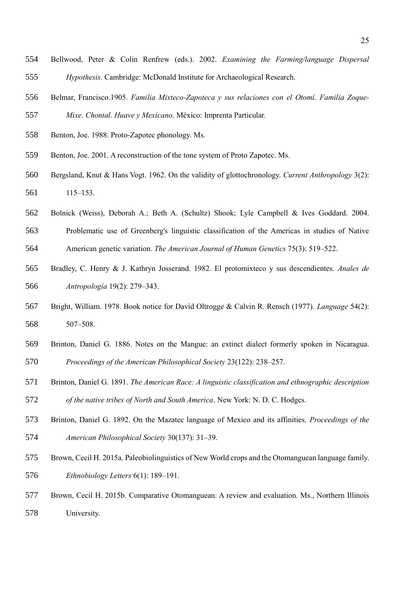- Bellwood, Peter & Colin Renfrew (eds.). 2002. *Examining the Farming/language Dispersal Hypothesis*. Cambridge: McDonald Institute for Archaeological Research.
- Belmar, Francisco.1905. *Familia Mixteco-Zapoteca y sus relaciones con el Otomí. Familia Zoque-Mixe. Chontal. Huave y Mexicano*. México: Imprenta Particular.
- Benton, Joe. 1988. Proto-Zapotec phonology. Ms.
- Benton, Joe. 2001. A reconstruction of the tone system of Proto Zapotec. Ms.
- Bergsland, Knut & Hans Vogt. 1962. On the validity of glottochronology. *Current Anthropology* 3(2): 115–153.
- Bolnick (Weiss), Deborah A.; Beth A. (Schultz) Shook; Lyle Campbell & Ives Goddard. 2004.
- Problematic use of Greenberg's linguistic classification of the Americas in studies of Native American genetic variation. *The American Journal of Human Genetics* 75(3): 519–522.
- Bradley, C. Henry & J. Kathryn Josserand. 1982. El protomixteco y sus descendientes. *Anales de Antropología* 19(2): 279–343.
- Bright, William. 1978. Book notice for David Oltrogge & Calvin R. Rensch (1977). *Language* 54(2): 507–508.
- Brinton, Daniel G. 1886. Notes on the Mangue: an extinct dialect formerly spoken in Nicaragua. *Proceedings of the American Philosophical Society* 23(122): 238–257.
- Brinton, Daniel G. 1891. *The American Race: A linguistic classification and ethnographic description of the native tribes of North and South America*. New York: N. D. C. Hodges.
- Brinton, Daniel G. 1892. On the Mazatec language of Mexico and its affinities. *Proceedings of the American Philosophical Society* 30(137): 31–39.
- Brown, Cecil H. 2015a. Paleobiolinguistics of New World crops and the Otomanguean language family. *Ethnobiology Letters* 6(1): 189–191.
- Brown, Cecil H. 2015b. Comparative Otomanguean: A review and evaluation. Ms., Northern Illinois University.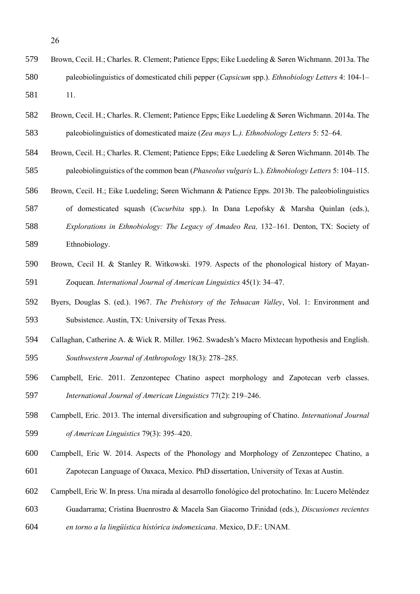| 579 | Brown, Cecil. H.; Charles. R. Clement; Patience Epps; Eike Luedeling & Søren Wichmann. 2013a. The               |
|-----|-----------------------------------------------------------------------------------------------------------------|
| 580 | paleobiolinguistics of domesticated chili pepper ( <i>Capsicum</i> spp.). <i>Ethnobiology Letters</i> 4: 104-1– |
| 581 |                                                                                                                 |

- Brown, Cecil. H.; Charles. R. Clement; Patience Epps; Eike Luedeling & Søren Wichmann. 2014a. The paleobiolinguistics of domesticated maize (*Zea mays* L.*). Ethnobiology Letters* 5: 52–64.
- Brown, Cecil. H.; Charles. R. Clement; Patience Epps; Eike Luedeling & Søren Wichmann. 2014b. The paleobiolinguistics of the common bean (*Phaseolus vulgaris* L.). *Ethnobiology Letters* 5: 104–115.
- Brown, Cecil. H.; Eike Luedeling; Søren Wichmann & Patience Epps. 2013b. The paleobiolinguistics
- of domesticated squash (*Cucurbita* spp.). In Dana Lepofsky & Marsha Quinlan (eds.), *Explorations in Ethnobiology: The Legacy of Amadeo Rea,* 132–161. Denton, TX: Society of Ethnobiology.
- Brown, Cecil H. & Stanley R. Witkowski. 1979. Aspects of the phonological history of Mayan-Zoquean. *International Journal of American Linguistics* 45(1): 34–47.
- Byers, Douglas S. (ed.). 1967. *The Prehistory of the Tehuacan Valley*, Vol. 1: Environment and Subsistence. Austin, TX: University of Texas Press.
- Callaghan, Catherine A. & Wick R. Miller. 1962. Swadesh's Macro Mixtecan hypothesis and English. *Southwestern Journal of Anthropology* 18(3): 278–285.
- Campbell, Eric. 2011. Zenzontepec Chatino aspect morphology and Zapotecan verb classes. *International Journal of American Linguistics* 77(2): 219–246.
- Campbell, Eric. 2013. The internal diversification and subgrouping of Chatino. *International Journal of American Linguistics* 79(3): 395–420.
- Campbell, Eric W. 2014. Aspects of the Phonology and Morphology of Zenzontepec Chatino, a Zapotecan Language of Oaxaca, Mexico. PhD dissertation, University of Texas at Austin.
- Campbell, Eric W. In press. Una mirada al desarrollo fonológico del protochatino. In: Lucero Meléndez
- Guadarrama; Cristina Buenrostro & Macela San Giacomo Trinidad (eds.), *Discusiones recientes*
- *en torno a la lingüística histórica indomexicana*. Mexico, D.F.: UNAM.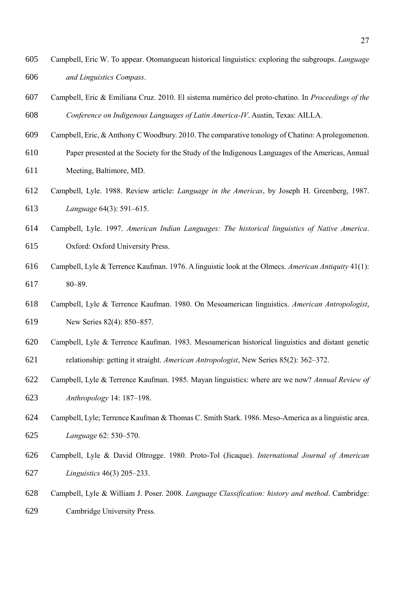- Campbell, Eric W. To appear. Otomanguean historical linguistics: exploring the subgroups. *Language and Linguistics Compass*.
- Campbell, Eric & Emiliana Cruz. 2010. El sistema numérico del proto-chatino. In *Proceedings of the Conference on Indigenous Languages of Latin America-IV*. Austin, Texas: AILLA.
- Campbell, Eric, & Anthony C Woodbury. 2010. The comparative tonology of Chatino: A prolegomenon.
- Paper presented at the Society for the Study of the Indigenous Languages of the Americas, Annual
- Meeting, Baltimore, MD.
- Campbell, Lyle. 1988. Review article: *Language in the Americas*, by Joseph H. Greenberg, 1987. *Language* 64(3): 591–615.
- Campbell, Lyle. 1997. *American Indian Languages: The historical linguistics of Native America*. Oxford: Oxford University Press.
- Campbell, Lyle & Terrence Kaufman. 1976. A linguistic look at the Olmecs. *American Antiquity* 41(1): 80–89.
- Campbell, Lyle & Terrence Kaufman. 1980. On Mesoamerican linguistics. *American Antropologist*, New Series 82(4): 850–857.
- Campbell, Lyle & Terrence Kaufman. 1983. Mesoamerican historical linguistics and distant genetic relationship: getting it straight. *American Antropologist*, New Series 85(2): 362–372.
- Campbell, Lyle & Terrence Kaufman. 1985. Mayan linguistics: where are we now? *Annual Review of Anthropology* 14: 187–198.
- Campbell, Lyle; Terrence Kaufman & Thomas C. Smith Stark. 1986. Meso-America as a linguistic area. *Language* 62: 530–570.
- Campbell, Lyle & David Oltrogge. 1980. Proto-Tol (Jicaque). *International Journal of American Linguistics* 46(3) 205–233.
- Campbell, Lyle & William J. Poser. 2008. *Language Classification: history and method*. Cambridge: Cambridge University Press.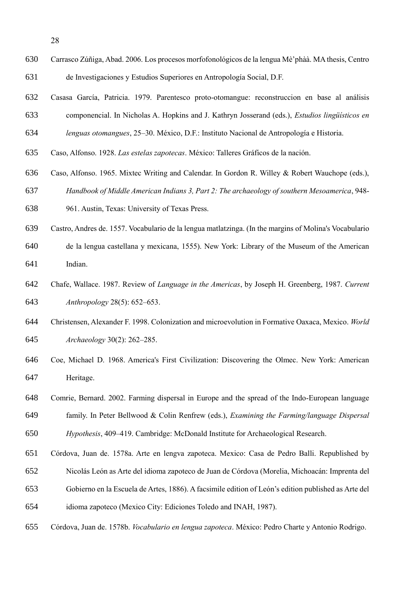- Carrasco Zúñiga, Abad. 2006. Los procesos morfofonológicos de la lengua Mè'phàà. MA thesis, Centro de Investigaciones y Estudios Superiores en Antropología Social, D.F.
- Casasa García, Patricia. 1979. Parentesco proto-otomangue: reconstruccion en base al análisis componencial. In Nicholas A. Hopkins and J. Kathryn Josserand (eds.), *Estudios lingüísticos en*
- *lenguas otomangues*, 25–30. México, D.F.: Instituto Nacional de Antropología e Historia.
- Caso, Alfonso. 1928. *Las estelas zapotecas*. México: Talleres Gráficos de la nación.
- Caso, Alfonso. 1965. Mixtec Writing and Calendar. In Gordon R. Willey & Robert Wauchope (eds.), *Handbook of Middle American Indians 3, Part 2: The archaeology of southern Mesoamerica*, 948-
- 961. Austin, Texas: University of Texas Press.
- Castro, Andres de. 1557. Vocabulario de la lengua matlatzinga. (In the margins of Molina's Vocabulario
- de la lengua castellana y mexicana, 1555). New York: Library of the Museum of the American Indian.
- Chafe, Wallace. 1987. Review of *Language in the Americas*, by Joseph H. Greenberg, 1987. *Current Anthropology* 28(5): 652–653.
- Christensen, Alexander F. 1998. Colonization and microevolution in Formative Oaxaca, Mexico. *World Archaeology* 30(2): 262–285.
- Coe, Michael D. 1968. America's First Civilization: Discovering the Olmec. New York: American Heritage.
- Comrie, Bernard. 2002. Farming dispersal in Europe and the spread of the Indo-European language family. In Peter Bellwood & Colin Renfrew (eds.), *Examining the Farming/language Dispersal Hypothesis*, 409–419. Cambridge: McDonald Institute for Archaeological Research.
- Córdova, Juan de. 1578a. Arte en lengva zapoteca. Mexico: Casa de Pedro Balli. Republished by
- Nicolás León as Arte del idioma zapoteco de Juan de Córdova (Morelia, Michoacán: Imprenta del
- Gobierno en la Escuela de Artes, 1886). A facsimile edition of León's edition published as Arte del
- idioma zapoteco (Mexico City: Ediciones Toledo and INAH, 1987).
- Córdova, Juan de. 1578b. *Vocabulario en lengua zapoteca*. México: Pedro Charte y Antonio Rodrigo.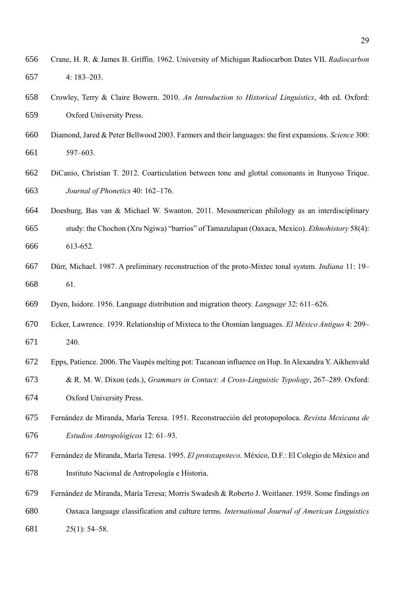- Crane, H. R. & James B. Griffin. 1962. University of Michigan Radiocarbon Dates VII. *Radiocarbon* 4: 183–203.
- Crowley, Terry & Claire Bowern. 2010. *An Introduction to Historical Linguistics*, 4th ed. Oxford: Oxford University Press.
- Diamond, Jared & Peter Bellwood 2003. Farmers and their languages: the first expansions. *Science* 300: 597–603.
- DiCanio, Christian T. 2012. Coarticulation between tone and glottal consonants in Itunyoso Trique. *Journal of Phonetics* 40: 162–176.
- Doesburg, Bas van & Michael W. Swanton. 2011. Mesoamerican philology as an interdisciplinary study: the Chochon (Xru Ngiwa) "barrios" of Tamazulapan (Oaxaca, Mexico). *Ethnohistory* 58(4): 613-652.
- Dürr, Michael. 1987. A preliminary reconstruction of the proto-Mixtec tonal system. *Indiana* 11: 19– 61.
- Dyen, Isidore. 1956. Language distribution and migration theory. *Language* 32: 611–626.
- Ecker, Lawrence. 1939. Relationship of Mixteca to the Otomian languages. *El México Antiguo* 4: 209– 240.
- Epps, Patience. 2006. The Vaupés melting pot: Tucanoan influence on Hup. In Alexandra Y. Aikhenvald & R. M. W. Dixon (eds.), *Grammars in Contact: A Cross-Linguistic Typology*, 267–289. Oxford:
- Oxford University Press.
- Fernández de Miranda, María Teresa. 1951. Reconstrucción del protopopoloca. *Revista Mexicana de Estudios Antropológicos* 12: 61–93.
- Fernández de Miranda, María Teresa. 1995. *El protozapoteco*. México, D.F.: El Colegio de México and Instituto Nacional de Antropología e Historia.
- Fernández de Miranda, María Teresa; Morris Swadesh & Roberto J. Weitlaner. 1959. Some findings on Oaxaca language classification and culture terms. *International Journal of American Linguistics*  25(1): 54–58.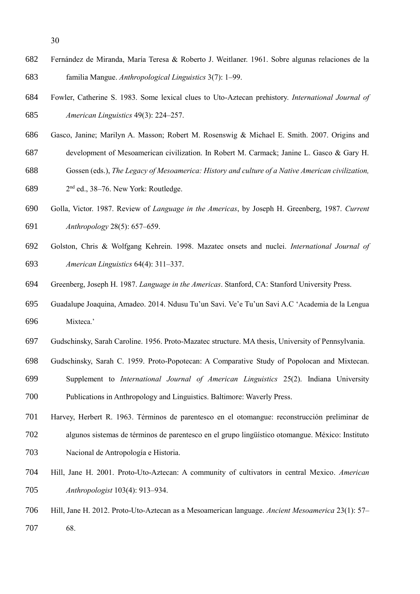- Fernández de Miranda, María Teresa & Roberto J. Weitlaner. 1961. Sobre algunas relaciones de la familia Mangue. *Anthropological Linguistics* 3(7): 1–99.
- Fowler, Catherine S. 1983. Some lexical clues to Uto-Aztecan prehistory. *International Journal of American Linguistics* 49(3): 224–257.
- Gasco, Janine; Marilyn A. Masson; Robert M. Rosenswig & Michael E. Smith. 2007. Origins and
- development of Mesoamerican civilization. In Robert M. Carmack; Janine L. Gasco & Gary H.
- Gossen (eds.), *The Legacy of Mesoamerica: History and culture of a Native American civilization,*

689 2<sup>nd</sup> ed., 38–76. New York: Routledge.

- Golla, Victor. 1987. Review of *Language in the Americas*, by Joseph H. Greenberg, 1987. *Current Anthropology* 28(5): 657–659.
- Golston, Chris & Wolfgang Kehrein. 1998. Mazatec onsets and nuclei. *International Journal of American Linguistics* 64(4): 311–337.
- Greenberg, Joseph H. 1987. *Language in the Americas*. Stanford, CA: Stanford University Press.
- Guadalupe Joaquina, Amadeo. 2014. Ndusu Tu'un Savi. Ve'e Tu'un Savi A.C 'Academia de la Lengua Mixteca.'
- Gudschinsky, Sarah Caroline. 1956. Proto-Mazatec structure. MA thesis, University of Pennsylvania.
- Gudschinsky, Sarah C. 1959. Proto-Popotecan: A Comparative Study of Popolocan and Mixtecan.
- Supplement to *International Journal of American Linguistics* 25(2). Indiana University Publications in Anthropology and Linguistics. Baltimore: Waverly Press.
- Harvey, Herbert R. 1963. Términos de parentesco en el otomangue: reconstrucción preliminar de
- algunos sistemas de términos de parentesco en el grupo lingüístico otomangue. México: Instituto Nacional de Antropología e Historia.
- Hill, Jane H. 2001. Proto-Uto-Aztecan: A community of cultivators in central Mexico. *American Anthropologist* 103(4): 913–934.
- Hill, Jane H. 2012. Proto-Uto-Aztecan as a Mesoamerican language. *Ancient Mesoamerica* 23(1): 57– 68.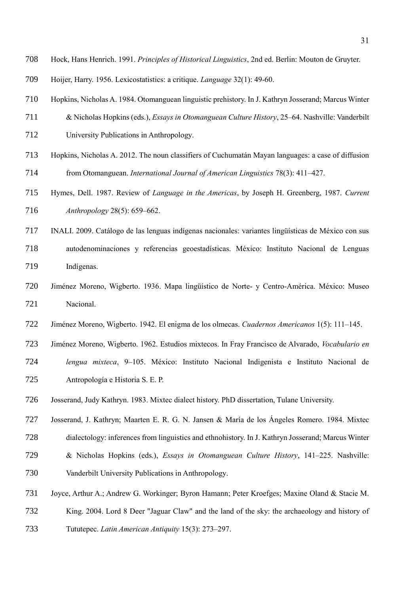- Hock, Hans Henrich. 1991. *Principles of Historical Linguistics*, 2nd ed. Berlin: Mouton de Gruyter.
- Hoijer, Harry. 1956. Lexicostatistics: a critique. *Language* 32(1): 49-60.

Hopkins, Nicholas A. 1984. Otomanguean linguistic prehistory. In J. Kathryn Josserand; Marcus Winter

- & Nicholas Hopkins (eds.), *Essays in Otomanguean Culture History*, 25–64. Nashville: Vanderbilt
- University Publications in Anthropology.
- Hopkins, Nicholas A. 2012. The noun classifiers of Cuchumatán Mayan languages: a case of diffusion from Otomanguean. *International Journal of American Linguistics* 78(3): 411–427.
- Hymes, Dell. 1987. Review of *Language in the Americas*, by Joseph H. Greenberg, 1987. *Current Anthropology* 28(5): 659–662.
- INALI. 2009. Catálogo de las lenguas indígenas nacionales: variantes lingüísticas de México con sus autodenominaciones y referencias geoestadísticas. México: Instituto Nacional de Lenguas Indígenas.
- Jiménez Moreno, Wigberto. 1936. Mapa lingüístico de Norte- y Centro-América. México: Museo Nacional.
- Jiménez Moreno, Wigberto. 1942. El enigma de los olmecas. *Cuadernos Americanos* 1(5): 111–145.
- Jiménez Moreno, Wigberto. 1962. Estudios mixtecos. In Fray Francisco de Alvarado, *Vocabulario en lengua mixteca*, 9–105. México: Instituto Nacional Indigenista e Instituto Nacional de Antropología e Historia S. E. P.
- Josserand, Judy Kathryn. 1983. Mixtec dialect history. PhD dissertation, Tulane University.
- Josserand, J. Kathryn; Maarten E. R. G. N. Jansen & María de los Ángeles Romero. 1984. Mixtec dialectology: inferences from linguistics and ethnohistory. In J. Kathryn Josserand; Marcus Winter & Nicholas Hopkins (eds.), *Essays in Otomanguean Culture History*, 141–225. Nashville:
- Vanderbilt University Publications in Anthropology.
- Joyce, Arthur A.; Andrew G. Workinger; Byron Hamann; Peter Kroefges; Maxine Oland & Stacie M.
- King. 2004. Lord 8 Deer "Jaguar Claw" and the land of the sky: the archaeology and history of
- Tututepec. *Latin American Antiquity* 15(3): 273–297.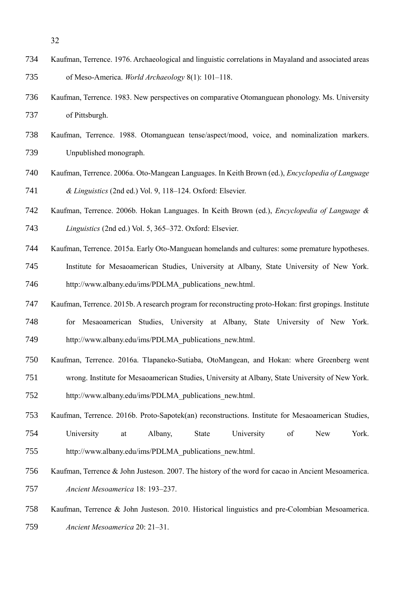- Kaufman, Terrence. 1976. Archaeological and linguistic correlations in Mayaland and associated areas of Meso-America. *World Archaeology* 8(1): 101–118.
- Kaufman, Terrence. 1983. New perspectives on comparative Otomanguean phonology. Ms. University of Pittsburgh.
- Kaufman, Terrence. 1988. Otomanguean tense/aspect/mood, voice, and nominalization markers. Unpublished monograph.
- Kaufman, Terrence. 2006a. Oto-Mangean Languages. In Keith Brown (ed.), *Encyclopedia of Language & Linguistics* (2nd ed.) Vol. 9, 118–124. Oxford: Elsevier.
- Kaufman, Terrence. 2006b. Hokan Languages. In Keith Brown (ed.), *Encyclopedia of Language & Linguistics* (2nd ed.) Vol. 5, 365–372. Oxford: Elsevier.
- Kaufman, Terrence. 2015a. Early Oto-Manguean homelands and cultures: some premature hypotheses.
- Institute for Mesaoamerican Studies, University at Albany, State University of New York. http://www.albany.edu/ims/PDLMA\_publications\_new.html.
- Kaufman, Terrence. 2015b. A research program for reconstructing proto-Hokan: first gropings. Institute for Mesaoamerican Studies, University at Albany, State University of New York. http://www.albany.edu/ims/PDLMA\_publications\_new.html.
- Kaufman, Terrence. 2016a. Tlapaneko-Sutiaba, OtoMangean, and Hokan: where Greenberg went wrong. Institute for Mesaoamerican Studies, University at Albany, State University of New York. http://www.albany.edu/ims/PDLMA\_publications\_new.html.
- Kaufman, Terrence. 2016b. Proto-Sapotek(an) reconstructions. Institute for Mesaoamerican Studies, University at Albany, State University of New York. http://www.albany.edu/ims/PDLMA\_publications\_new.html.
- Kaufman, Terrence & John Justeson. 2007. The history of the word for cacao in Ancient Mesoamerica. *Ancient Mesoamerica* 18: 193–237.
- Kaufman, Terrence & John Justeson. 2010. Historical linguistics and pre-Colombian Mesoamerica. *Ancient Mesoamerica* 20: 21–31.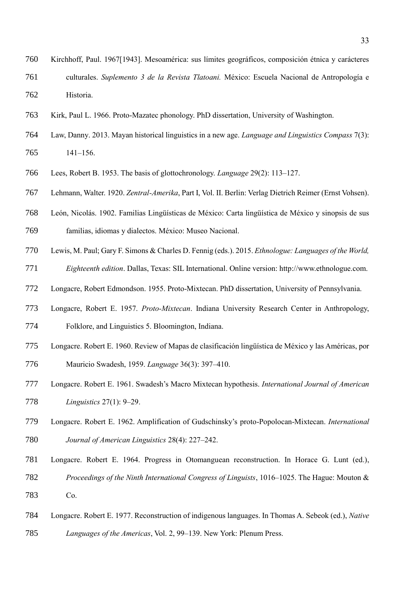- Kirchhoff, Paul. 1967[1943]. Mesoamérica: sus límites geográficos, composición étnica y carácteres culturales. *Suplemento 3 de la Revista Tlatoani.* México: Escuela Nacional de Antropología e Historia.
- Kirk, Paul L. 1966. Proto-Mazatec phonology. PhD dissertation, University of Washington.
- Law, Danny. 2013. Mayan historical linguistics in a new age. *Language and Linguistics Compass* 7(3): 141–156.
- Lees, Robert B. 1953. The basis of glottochronology. *Language* 29(2): 113–127.
- Lehmann, Walter. 1920. *Zentral-Amerika*, Part I, Vol. II. Berlin: Verlag Dietrich Reimer (Ernst Vohsen).
- León, Nicolás. 1902. Familias Lingüísticas de México: Carta lingüística de México y sinopsis de sus

familias, idiomas y dialectos. México: Museo Nacional.

- Lewis, M. Paul; Gary F. Simons & Charles D. Fennig (eds.). 2015. *Ethnologue: Languages of the World, Eighteenth edition*. Dallas, Texas: SIL International. Online version: http://www.ethnologue.com.
- 
- Longacre, Robert Edmondson. 1955. Proto-Mixtecan. PhD dissertation, University of Pennsylvania.
- Longacre, Robert E. 1957. *Proto-Mixtecan*. Indiana University Research Center in Anthropology, Folklore, and Linguistics 5. Bloomington, Indiana.
- Longacre. Robert E. 1960. Review of Mapas de clasificación lingüística de México y las Américas, por Mauricio Swadesh, 1959. *Language* 36(3): 397–410.
- Longacre. Robert E. 1961. Swadesh's Macro Mixtecan hypothesis. *International Journal of American Linguistics* 27(1): 9–29.
- Longacre. Robert E. 1962. Amplification of Gudschinsky's proto-Popolocan-Mixtecan. *International Journal of American Linguistics* 28(4): 227–242.
- Longacre. Robert E. 1964. Progress in Otomanguean reconstruction. In Horace G. Lunt (ed.),
- *Proceedings of the Ninth International Congress of Linguists*, 1016–1025. The Hague: Mouton &
- Co.
- Longacre. Robert E. 1977. Reconstruction of indigenous languages. In Thomas A. Sebeok (ed.), *Native Languages of the Americas*, Vol. 2, 99–139. New York: Plenum Press.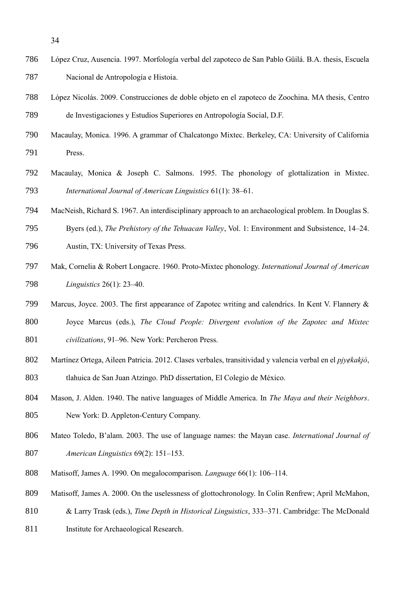- López Cruz, Ausencia. 1997. Morfología verbal del zapoteco de San Pablo Güilá. B.A. thesis, Escuela Nacional de Antropología e Histoia.
- López Nicolás. 2009. Construcciones de doble objeto en el zapoteco de Zoochina. MA thesis, Centro de Investigaciones y Estudios Superiores en Antropología Social, D.F.
- Macaulay, Monica. 1996. A grammar of Chalcatongo Mixtec. Berkeley, CA: University of California Press.
- Macaulay, Monica & Joseph C. Salmons. 1995. The phonology of glottalization in Mixtec. *International Journal of American Linguistics* 61(1): 38–61.
- MacNeish, Richard S. 1967. An interdisciplinary approach to an archaeological problem. In Douglas S.
- Byers (ed.), *The Prehistory of the Tehuacan Valley*, Vol. 1: Environment and Subsistence, 14–24.
- Austin, TX: University of Texas Press.
- Mak, Cornelia & Robert Longacre. 1960. Proto-Mixtec phonology. *International Journal of American Linguistics* 26(1): 23–40.
- Marcus, Joyce. 2003. The first appearance of Zapotec writing and calendrics. In Kent V. Flannery & Joyce Marcus (eds.), *The Cloud People: Divergent evolution of the Zapotec and Mixtec civilizations*, 91–96. New York: Percheron Press.
- 802 Martínez Ortega, Aileen Patricia. 2012. Clases verbales, transitividad y valencia verbal en el *pivekakió*, tlahuica de San Juan Atzingo. PhD dissertation, El Colegio de México.
- Mason, J. Alden. 1940. The native languages of Middle America. In *The Maya and their Neighbors*. New York: D. Appleton-Century Company.
- Mateo Toledo, B'alam. 2003. The use of language names: the Mayan case. *International Journal of American Linguistics* 69(2): 151–153.
- Matisoff, James A. 1990. On megalocomparison. *Language* 66(1): 106–114.
- Matisoff, James A. 2000. On the uselessness of glottochronology. In Colin Renfrew; April McMahon,
- & Larry Trask (eds.), *Time Depth in Historical Linguistics*, 333–371. Cambridge: The McDonald
- 811 Institute for Archaeological Research.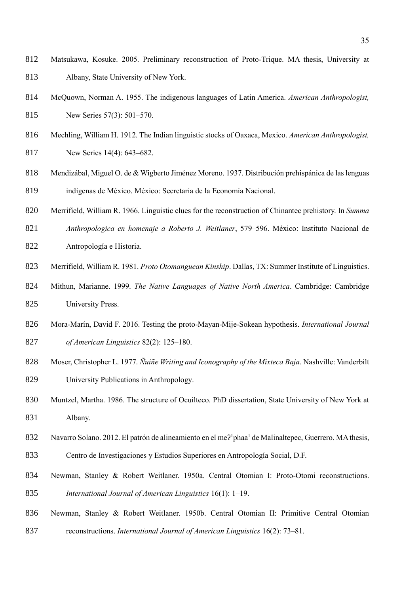- Matsukawa, Kosuke. 2005. Preliminary reconstruction of Proto-Trique. MA thesis, University at Albany, State University of New York.
- McQuown, Norman A. 1955. The indigenous languages of Latin America. *American Anthropologist,*  New Series 57(3): 501–570.
- Mechling, William H. 1912. The Indian linguistic stocks of Oaxaca, Mexico. *American Anthropologist,*
- New Series 14(4): 643–682.
- Mendizábal, Miguel O. de & Wigberto Jiménez Moreno. 1937. Distribución prehispánica de las lenguas indígenas de México. México: Secretaria de la Economía Nacional.
- Merrifield, William R. 1966. Linguistic clues for the reconstruction of Chinantec prehistory. In *Summa*
- *Anthropologica en homenaje a Roberto J. Weitlaner*, 579–596. México: Instituto Nacional de Antropología e Historia.
- Merrifield, William R. 1981. *Proto Otomanguean Kinship*. Dallas, TX: Summer Institute of Linguistics.
- Mithun, Marianne. 1999. *The Native Languages of Native North America*. Cambridge: Cambridge University Press.
- Mora-Marín, David F. 2016. Testing the proto-Mayan-Mije-Sokean hypothesis. *International Journal of American Linguistics* 82(2): 125–180.
- Moser, Christopher L. 1977. *Ñuiñe Writing and Iconography of the Mixteca Baja*. Nashville: Vanderbilt
- University Publications in Anthropology.
- Muntzel, Martha. 1986. The structure of Ocuilteco. PhD dissertation, State University of New York at Albany.
- 832 Navarro Solano. 2012. El patrón de alineamiento en el me?<sup>1</sup>phaa<sup>1</sup> de Malinaltepec, Guerrero. MA thesis,
- Centro de Investigaciones y Estudios Superiores en Antropología Social, D.F.
- Newman, Stanley & Robert Weitlaner. 1950a. Central Otomian I: Proto-Otomi reconstructions. *International Journal of American Linguistics* 16(1): 1–19.
- Newman, Stanley & Robert Weitlaner. 1950b. Central Otomian II: Primitive Central Otomian reconstructions. *International Journal of American Linguistics* 16(2): 73–81.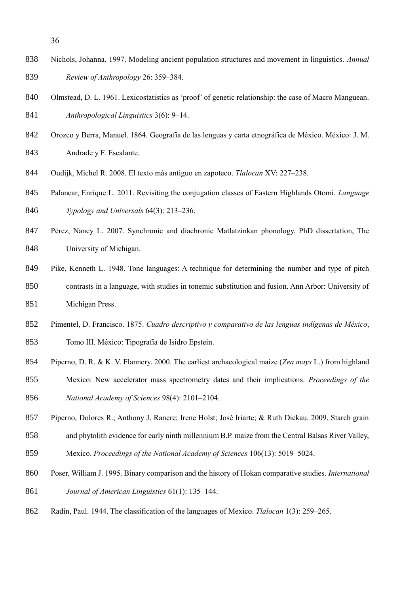- Nichols, Johanna. 1997. Modeling ancient population structures and movement in linguistics. *Annual Review of Anthropology* 26: 359–384.
- 840 Olmstead, D. L. 1961. Lexicostatistics as 'proof' of genetic relationship: the case of Macro Manguean. *Anthropological Linguistics* 3(6): 9–14.
- Orozco y Berra, Manuel. 1864. Geografía de las lenguas y carta etnográfica de México. México: J. M. Andrade y F. Escalante.
- Oudijk, Michel R. 2008. El texto más antiguo en zapoteco. *Tlalocan* XV: 227–238.
- Palancar, Enrique L. 2011. Revisiting the conjugation classes of Eastern Highlands Otomi. *Language Typology and Universals* 64(3): 213–236.
- Pérez, Nancy L. 2007. Synchronic and diachronic Matlatzinkan phonology. PhD dissertation, The University of Michigan.
- Pike, Kenneth L. 1948. Tone languages: A technique for determining the number and type of pitch contrasts in a language, with studies in tonemic substitution and fusion. Ann Arbor: University of Michigan Press.
- Pimentel, D. Francisco. 1875. *Cuadro descriptivo y comparativo de las lenguas indígenas de México*,
- Tomo III. México: Tipografía de Isidro Epstein.
- Piperno, D. R. & K. V. Flannery. 2000. The earliest archaeological maize (*Zea mays* L.) from highland
- Mexico: New accelerator mass spectrometry dates and their implications. *Proceedings of the National Academy of Sciences* 98(4): 2101–2104.
- Piperno, Dolores R.; Anthony J. Ranere; Irene Holst; José Iriarte; & Ruth Dickau. 2009. Starch grain
- and phytolith evidence for early ninth millennium B.P. maize from the Central Balsas River Valley,
- Mexico. *Proceedings of the National Academy of Sciences* 106(13): 5019–5024.
- Poser, William J. 1995. Binary comparison and the history of Hokan comparative studies. *International Journal of American Linguistics* 61(1): 135–144.
- Radin, Paul. 1944. The classification of the languages of Mexico. *Tlalocan* 1(3): 259–265.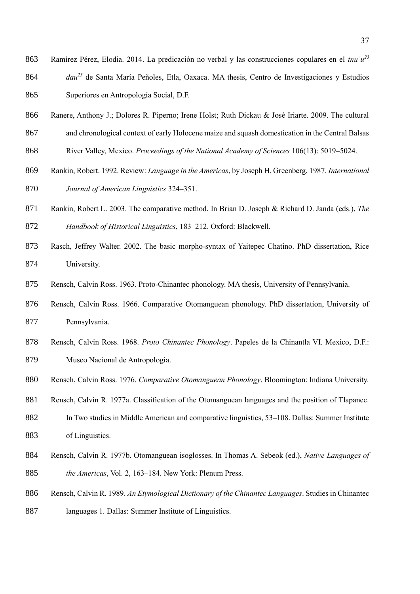- Ramírez Pérez, Elodia. 2014. La predicación no verbal y las construcciones copulares en el *tnu'u<sup>23</sup>* 864 *dau<sup>23</sup>* de Santa María Peñoles, Etla, Oaxaca. MA thesis, Centro de Investigaciones y Estudios Superiores en Antropología Social, D.F.
- Ranere, Anthony J.; Dolores R. Piperno; Irene Holst; Ruth Dickau & José Iriarte. 2009. The cultural
- and chronological context of early Holocene maize and squash domestication in the Central Balsas
- River Valley, Mexico. *Proceedings of the National Academy of Sciences* 106(13): 5019–5024.
- Rankin, Robert. 1992. Review: *Language in the Americas*, by Joseph H. Greenberg, 1987. *International Journal of American Linguistics* 324–351.
- Rankin, Robert L. 2003. The comparative method. In Brian D. Joseph & Richard D. Janda (eds.), *The Handbook of Historical Linguistics*, 183–212. Oxford: Blackwell.
- Rasch, Jeffrey Walter. 2002. The basic morpho-syntax of Yaitepec Chatino. PhD dissertation, Rice University.
- Rensch, Calvin Ross. 1963. Proto-Chinantec phonology. MA thesis, University of Pennsylvania.
- Rensch, Calvin Ross. 1966. Comparative Otomanguean phonology. PhD dissertation, University of Pennsylvania.
- Rensch, Calvin Ross. 1968. *Proto Chinantec Phonology*. Papeles de la Chinantla VI. Mexico, D.F.: Museo Nacional de Antropología.
- Rensch, Calvin Ross. 1976. *Comparative Otomanguean Phonology*. Bloomington: Indiana University.
- Rensch, Calvin R. 1977a. Classification of the Otomanguean languages and the position of Tlapanec.
- In Two studies in Middle American and comparative linguistics, 53–108. Dallas: Summer Institute of Linguistics.
- Rensch, Calvin R. 1977b. Otomanguean isoglosses. In Thomas A. Sebeok (ed.), *Native Languages of the Americas*, Vol. 2, 163–184. New York: Plenum Press.
- Rensch, Calvin R. 1989. *An Etymological Dictionary of the Chinantec Languages*. Studies in Chinantec
- languages 1. Dallas: Summer Institute of Linguistics.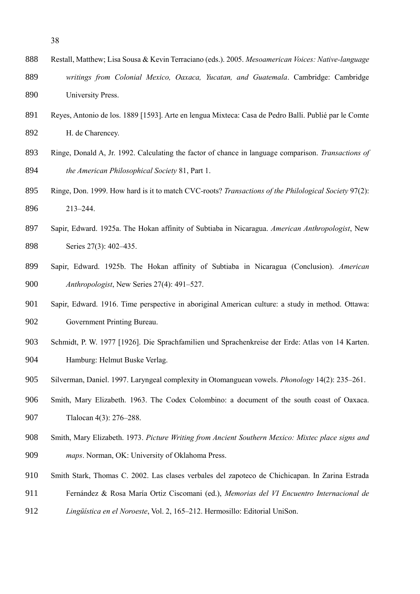- Restall, Matthew; Lisa Sousa & Kevin Terraciano (eds.). 2005. *Mesoamerican Voices: Native-language writings from Colonial Mexico, Oaxaca, Yucatan, and Guatemala*. Cambridge: Cambridge University Press.
- Reyes, Antonio de los. 1889 [1593]. Arte en lengua Mixteca: Casa de Pedro Balli. Publié par le Comte H. de Charencey.
- Ringe, Donald A, Jr. 1992. Calculating the factor of chance in language comparison. *Transactions of the American Philosophical Society* 81, Part 1.
- Ringe, Don. 1999. How hard is it to match CVC-roots? *Transactions of the Philological Society* 97(2): 213–244.
- Sapir, Edward. 1925a. The Hokan affinity of Subtiaba in Nicaragua. *American Anthropologist*, New 898 Series 27(3): 402–435.
- Sapir, Edward. 1925b. The Hokan affinity of Subtiaba in Nicaragua (Conclusion). *American Anthropologist*, New Series 27(4): 491–527.
- Sapir, Edward. 1916. Time perspective in aboriginal American culture: a study in method. Ottawa: Government Printing Bureau.
- Schmidt, P. W. 1977 [1926]. Die Sprachfamilien und Sprachenkreise der Erde: Atlas von 14 Karten. Hamburg: Helmut Buske Verlag.
- Silverman, Daniel. 1997. Laryngeal complexity in Otomanguean vowels. *Phonology* 14(2): 235–261.
- Smith, Mary Elizabeth. 1963. The Codex Colombino: a document of the south coast of Oaxaca. Tlalocan 4(3): 276–288.
- Smith, Mary Elizabeth. 1973. *Picture Writing from Ancient Southern Mexico: Mixtec place signs and maps*. Norman, OK: University of Oklahoma Press.
- Smith Stark, Thomas C. 2002. Las clases verbales del zapoteco de Chichicapan. In Zarina Estrada
- Fernández & Rosa María Ortiz Ciscomani (ed.), *Memorias del VI Encuentro Internacional de*
- *Lingüística en el Noroeste*, Vol. 2, 165–212. Hermosillo: Editorial UniSon.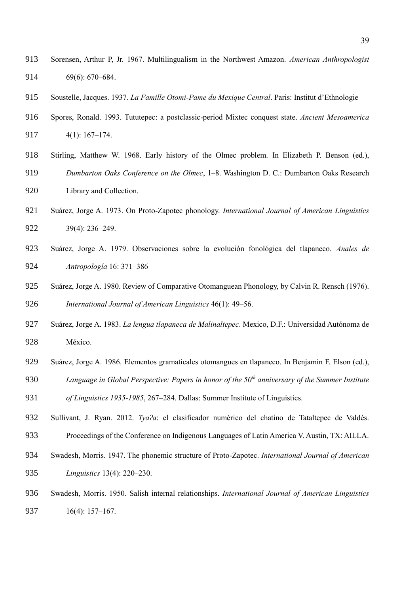- Sorensen, Arthur P, Jr. 1967. Multilingualism in the Northwest Amazon. *American Anthropologist* 69(6): 670–684.
- Soustelle, Jacques. 1937. *La Famille Otomi-Pame du Mexique Central*. Paris: Institut d'Ethnologie
- Spores, Ronald. 1993. Tututepec: a postclassic-period Mixtec conquest state. *Ancient Mesoamerica* 4(1): 167–174.
- Stirling, Matthew W. 1968. Early history of the Olmec problem. In Elizabeth P. Benson (ed.), *Dumbarton Oaks Conference on the Olmec*, 1–8. Washington D. C.: Dumbarton Oaks Research Library and Collection.
- Suárez, Jorge A. 1973. On Proto-Zapotec phonology. *International Journal of American Linguistics* 39(4): 236–249.
- Suárez, Jorge A. 1979. Observaciones sobre la evolución fonológica del tlapaneco. *Anales de Antropología* 16: 371–386
- Suárez, Jorge A. 1980. Review of Comparative Otomanguean Phonology, by Calvin R. Rensch (1976). *International Journal of American Linguistics* 46(1): 49–56.
- Suárez, Jorge A. 1983. *La lengua tlapaneca de Malinaltepec*. Mexico, D.F.: Universidad Autónoma de México.
- Suárez, Jorge A. 1986. Elementos gramaticales otomangues en tlapaneco. In Benjamin F. Elson (ed.), *Language in Global Perspective: Papers in honor of the 50th anniversary of the Summer Institute*
- *of Linguistics 1935-1985*, 267–284. Dallas: Summer Institute of Linguistics.
- Sullivant, J. Ryan. 2012. *Tyaʔa*: el clasificador numérico del chatino de Tataltepec de Valdés. Proceedings of the Conference on Indigenous Languages of Latin America V. Austin, TX: AILLA.
- Swadesh, Morris. 1947. The phonemic structure of Proto-Zapotec. *International Journal of American Linguistics* 13(4): 220–230.
- Swadesh, Morris. 1950. Salish internal relationships. *International Journal of American Linguistics* 16(4): 157–167.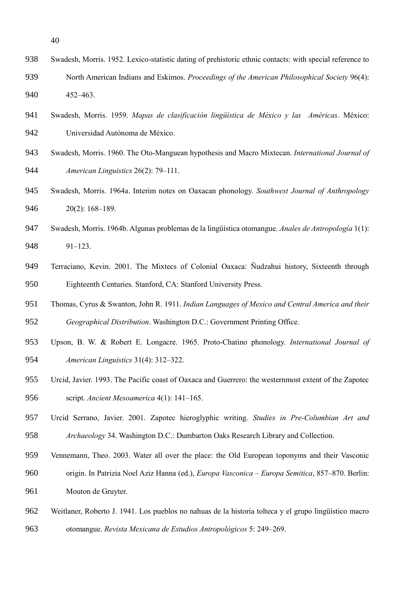- Swadesh, Morris. 1952. Lexico-statistic dating of prehistoric ethnic contacts: with special reference to North American Indians and Eskimos. *Proceedings of the American Philosophical Society* 96(4): 452–463.
- Swadesh, Morris. 1959. *Mapas de clasificación lingüística de México y las Américas*. México: Universidad Autónoma de México.
- Swadesh, Morris. 1960. The Oto-Manguean hypothesis and Macro Mixtecan. *International Journal of American Linguistics* 26(2): 79–111.
- Swadesh, Morris. 1964a. Interim notes on Oaxacan phonology. *Southwest Journal of Anthropology*  20(2): 168–189.
- Swadesh, Morris. 1964b. Algunas problemas de la lingüística otomangue. *Anales de Antropología* 1(1): 91–123.
- Terraciano, Kevin. 2001. The Mixtecs of Colonial Oaxaca: Ñudzahui history, Sixteenth through Eighteenth Centuries. Stanford, CA: Stanford University Press.
- Thomas, Cyrus & Swanton, John R. 1911. *Indian Languages of Mexico and Central America and their Geographical Distribution*. Washington D.C.: Government Printing Office.
- Upson, B. W. & Robert E. Longacre. 1965. Proto-Chatino phonology. *International Journal of American Linguistics* 31(4): 312–322.
- Urcid, Javier. 1993. The Pacific coast of Oaxaca and Guerrero: the westernmost extent of the Zapotec script. *Ancient Mesoamerica* 4(1): 141–165.
- Urcid Serrano, Javier. 2001. Zapotec hieroglyphic writing. *Studies in Pre-Columbian Art and Archaeology* 34. Washington D.C.: Dumbarton Oaks Research Library and Collection.
- Vennemann, Theo. 2003. Water all over the place: the Old European toponyms and their Vasconic origin. In Patrizia Noel Aziz Hanna (ed.), *Europa Vasconica – Europa Semitica*, 857–870. Berlin: Mouton de Gruyter.
- Weitlaner, Roberto J. 1941. Los pueblos no nahuas de la historia tolteca y el grupo lingüístico macro otomangue. *Revista Mexicana de Estudios Antropológicos* 5: 249–269.